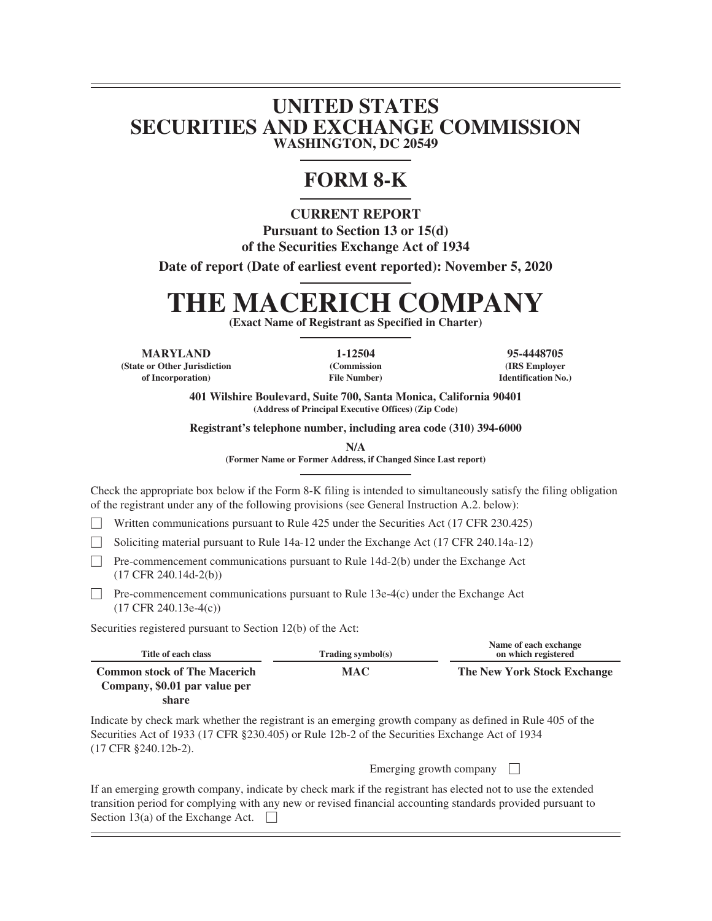# **UNITED STATES SECURITIES AND EXCHANGE COMMISSION WASHINGTON, DC 20549**

# **FORM 8-K**

**CURRENT REPORT Pursuant to Section 13 or 15(d) of the Securities Exchange Act of 1934**

**Date of report (Date of earliest event reported): November 5, 2020**

# **THE MACERICH COMPANY**

**(Exact Name of Registrant as Specified in Charter)**

**MARYLAND 1-12504 95-4448705**

**(State or Other Jurisdiction of Incorporation)**

**(Commission File Number)**

**(IRS Employer Identification No.)**

**401 Wilshire Boulevard, Suite 700, Santa Monica, California 90401 (Address of Principal Executive Offices) (Zip Code)**

**Registrant's telephone number, including area code (310) 394-6000**

**N/A**

**(Former Name or Former Address, if Changed Since Last report)**

Check the appropriate box below if the Form 8-K filing is intended to simultaneously satisfy the filing obligation of the registrant under any of the following provisions (see General Instruction A.2. below):

Written communications pursuant to Rule 425 under the Securities Act (17 CFR 230.425)

' Soliciting material pursuant to Rule 14a-12 under the Exchange Act (17 CFR 240.14a-12)

 $\Box$  Pre-commencement communications pursuant to Rule 14d-2(b) under the Exchange Act (17 CFR 240.14d-2(b))

 $\Box$  Pre-commencement communications pursuant to Rule 13e-4(c) under the Exchange Act (17 CFR 240.13e-4(c))

Securities registered pursuant to Section 12(b) of the Act:

| Title of each class                                                  | Trading symbol(s) | Name of each exchange<br>on which registered |
|----------------------------------------------------------------------|-------------------|----------------------------------------------|
| <b>Common stock of The Macerich</b><br>Company, \$0.01 par value per | <b>MAC</b>        | The New York Stock Exchange                  |
| share                                                                |                   |                                              |

Indicate by check mark whether the registrant is an emerging growth company as defined in Rule 405 of the Securities Act of 1933 (17 CFR §230.405) or Rule 12b-2 of the Securities Exchange Act of 1934 (17 CFR §240.12b-2).

| Emerging growth company |  |  |
|-------------------------|--|--|
|                         |  |  |

If an emerging growth company, indicate by check mark if the registrant has elected not to use the extended transition period for complying with any new or revised financial accounting standards provided pursuant to Section 13(a) of the Exchange Act.  $\Box$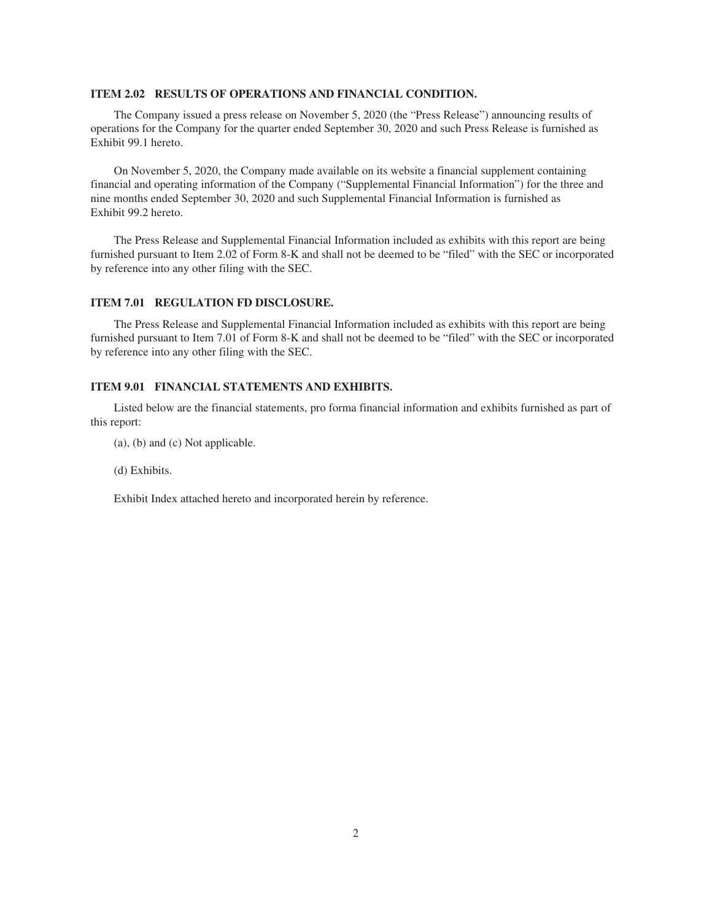#### **ITEM 2.02 RESULTS OF OPERATIONS AND FINANCIAL CONDITION.**

The Company issued a press release on November 5, 2020 (the "Press Release") announcing results of operations for the Company for the quarter ended September 30, 2020 and such Press Release is furnished as Exhibit 99.1 hereto.

On November 5, 2020, the Company made available on its website a financial supplement containing financial and operating information of the Company ("Supplemental Financial Information") for the three and nine months ended September 30, 2020 and such Supplemental Financial Information is furnished as Exhibit 99.2 hereto.

The Press Release and Supplemental Financial Information included as exhibits with this report are being furnished pursuant to Item 2.02 of Form 8-K and shall not be deemed to be "filed" with the SEC or incorporated by reference into any other filing with the SEC.

#### **ITEM 7.01 REGULATION FD DISCLOSURE.**

The Press Release and Supplemental Financial Information included as exhibits with this report are being furnished pursuant to Item 7.01 of Form 8-K and shall not be deemed to be "filed" with the SEC or incorporated by reference into any other filing with the SEC.

#### **ITEM 9.01 FINANCIAL STATEMENTS AND EXHIBITS.**

Listed below are the financial statements, pro forma financial information and exhibits furnished as part of this report:

(a), (b) and (c) Not applicable.

(d) Exhibits.

Exhibit Index attached hereto and incorporated herein by reference.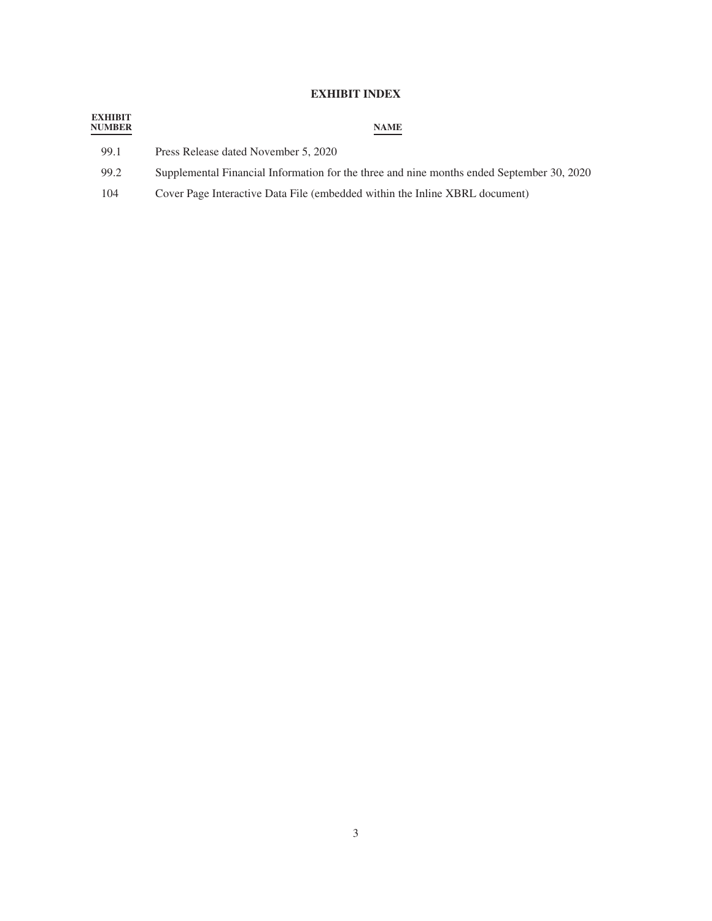# **EXHIBIT INDEX**

| <b>EXHIBIT</b><br><b>NUMBER</b> | <b>NAME</b>                                                                               |
|---------------------------------|-------------------------------------------------------------------------------------------|
| 99.1                            | Press Release dated November 5, 2020                                                      |
| 99.2                            | Supplemental Financial Information for the three and nine months ended September 30, 2020 |
| 104                             | Cover Page Interactive Data File (embedded within the Inline XBRL document)               |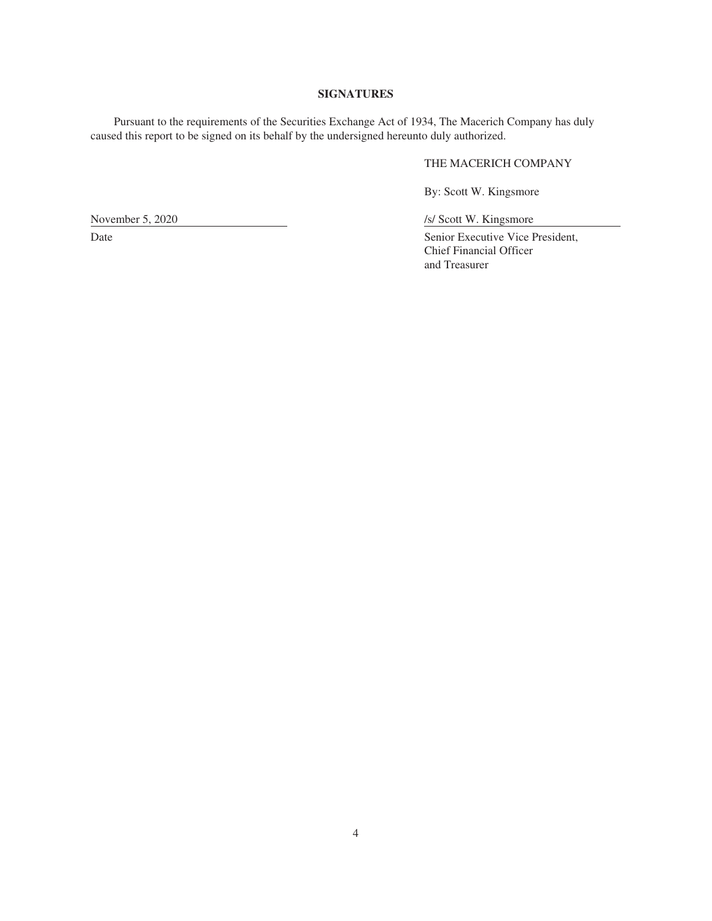#### **SIGNATURES**

Pursuant to the requirements of the Securities Exchange Act of 1934, The Macerich Company has duly caused this report to be signed on its behalf by the undersigned hereunto duly authorized.

# THE MACERICH COMPANY

By: Scott W. Kingsmore

/s/ Scott W. Kingsmore

Senior Executive Vice President, Chief Financial Officer and Treasurer

November 5, 2020

Date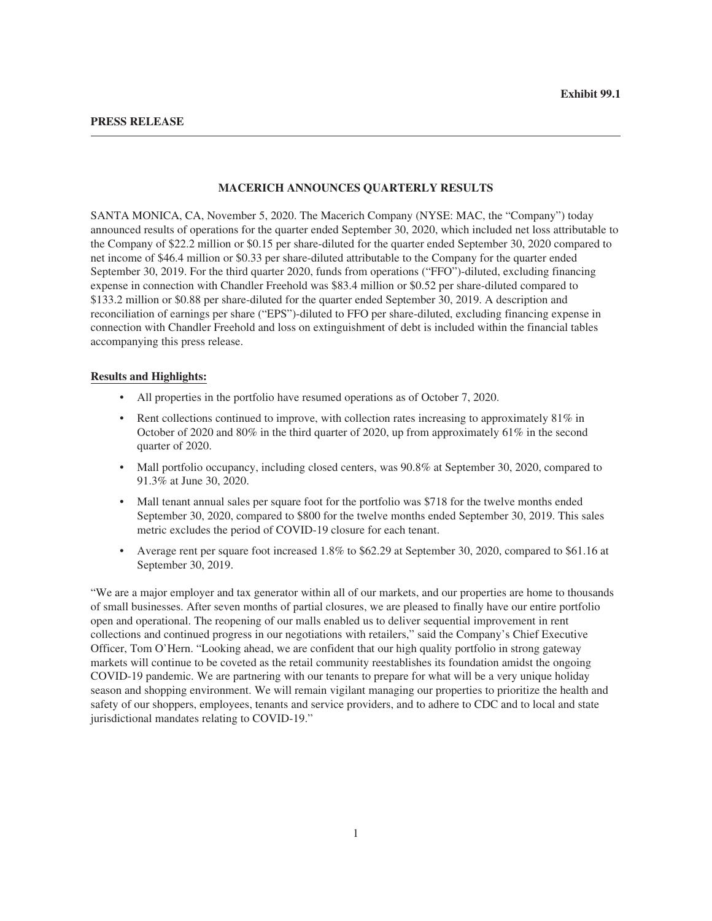#### **MACERICH ANNOUNCES QUARTERLY RESULTS**

SANTA MONICA, CA, November 5, 2020. The Macerich Company (NYSE: MAC, the "Company") today announced results of operations for the quarter ended September 30, 2020, which included net loss attributable to the Company of \$22.2 million or \$0.15 per share-diluted for the quarter ended September 30, 2020 compared to net income of \$46.4 million or \$0.33 per share-diluted attributable to the Company for the quarter ended September 30, 2019. For the third quarter 2020, funds from operations ("FFO")-diluted, excluding financing expense in connection with Chandler Freehold was \$83.4 million or \$0.52 per share-diluted compared to \$133.2 million or \$0.88 per share-diluted for the quarter ended September 30, 2019. A description and reconciliation of earnings per share ("EPS")-diluted to FFO per share-diluted, excluding financing expense in connection with Chandler Freehold and loss on extinguishment of debt is included within the financial tables accompanying this press release.

#### **Results and Highlights:**

- All properties in the portfolio have resumed operations as of October 7, 2020.
- Rent collections continued to improve, with collection rates increasing to approximately 81% in October of 2020 and 80% in the third quarter of 2020, up from approximately 61% in the second quarter of 2020.
- Mall portfolio occupancy, including closed centers, was 90.8% at September 30, 2020, compared to 91.3% at June 30, 2020.
- Mall tenant annual sales per square foot for the portfolio was \$718 for the twelve months ended September 30, 2020, compared to \$800 for the twelve months ended September 30, 2019. This sales metric excludes the period of COVID-19 closure for each tenant.
- Average rent per square foot increased 1.8% to \$62.29 at September 30, 2020, compared to \$61.16 at September 30, 2019.

"We are a major employer and tax generator within all of our markets, and our properties are home to thousands of small businesses. After seven months of partial closures, we are pleased to finally have our entire portfolio open and operational. The reopening of our malls enabled us to deliver sequential improvement in rent collections and continued progress in our negotiations with retailers," said the Company's Chief Executive Officer, Tom O'Hern. "Looking ahead, we are confident that our high quality portfolio in strong gateway markets will continue to be coveted as the retail community reestablishes its foundation amidst the ongoing COVID-19 pandemic. We are partnering with our tenants to prepare for what will be a very unique holiday season and shopping environment. We will remain vigilant managing our properties to prioritize the health and safety of our shoppers, employees, tenants and service providers, and to adhere to CDC and to local and state jurisdictional mandates relating to COVID-19."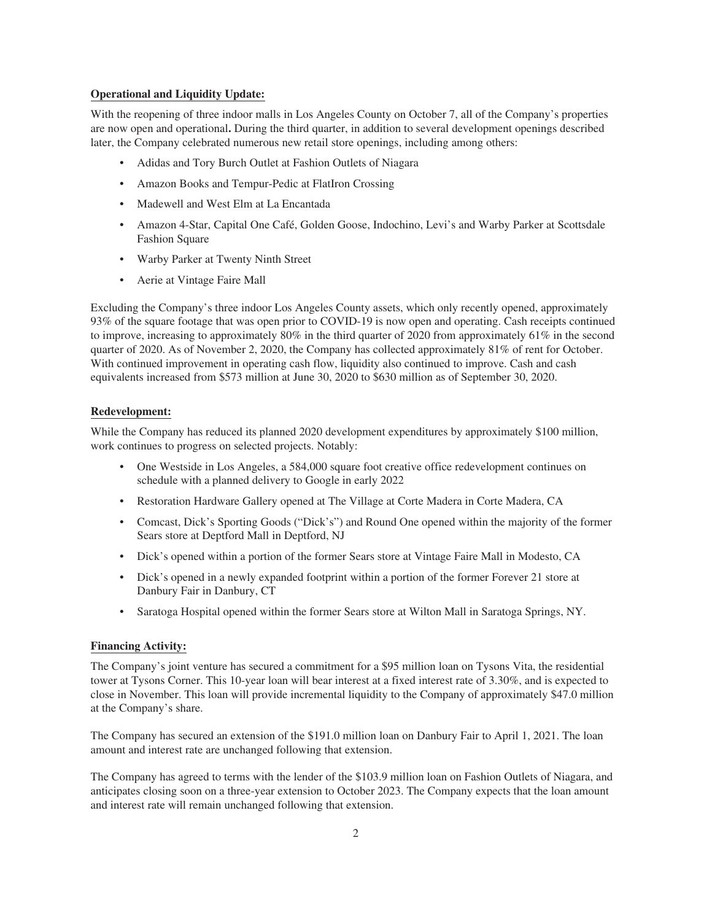#### **Operational and Liquidity Update:**

With the reopening of three indoor malls in Los Angeles County on October 7, all of the Company's properties are now open and operational**.** During the third quarter, in addition to several development openings described later, the Company celebrated numerous new retail store openings, including among others:

- Adidas and Tory Burch Outlet at Fashion Outlets of Niagara
- Amazon Books and Tempur-Pedic at FlatIron Crossing
- Madewell and West Elm at La Encantada
- Amazon 4-Star, Capital One Café, Golden Goose, Indochino, Levi's and Warby Parker at Scottsdale Fashion Square
- Warby Parker at Twenty Ninth Street
- Aerie at Vintage Faire Mall

Excluding the Company's three indoor Los Angeles County assets, which only recently opened, approximately 93% of the square footage that was open prior to COVID-19 is now open and operating. Cash receipts continued to improve, increasing to approximately  $80\%$  in the third quarter of 2020 from approximately  $61\%$  in the second quarter of 2020. As of November 2, 2020, the Company has collected approximately 81% of rent for October. With continued improvement in operating cash flow, liquidity also continued to improve. Cash and cash equivalents increased from \$573 million at June 30, 2020 to \$630 million as of September 30, 2020.

#### **Redevelopment:**

While the Company has reduced its planned 2020 development expenditures by approximately \$100 million, work continues to progress on selected projects. Notably:

- One Westside in Los Angeles, a 584,000 square foot creative office redevelopment continues on schedule with a planned delivery to Google in early 2022
- Restoration Hardware Gallery opened at The Village at Corte Madera in Corte Madera, CA
- Comcast, Dick's Sporting Goods ("Dick's") and Round One opened within the majority of the former Sears store at Deptford Mall in Deptford, NJ
- Dick's opened within a portion of the former Sears store at Vintage Faire Mall in Modesto, CA
- Dick's opened in a newly expanded footprint within a portion of the former Forever 21 store at Danbury Fair in Danbury, CT
- Saratoga Hospital opened within the former Sears store at Wilton Mall in Saratoga Springs, NY.

#### **Financing Activity:**

The Company's joint venture has secured a commitment for a \$95 million loan on Tysons Vita, the residential tower at Tysons Corner. This 10-year loan will bear interest at a fixed interest rate of 3.30%, and is expected to close in November. This loan will provide incremental liquidity to the Company of approximately \$47.0 million at the Company's share.

The Company has secured an extension of the \$191.0 million loan on Danbury Fair to April 1, 2021. The loan amount and interest rate are unchanged following that extension.

The Company has agreed to terms with the lender of the \$103.9 million loan on Fashion Outlets of Niagara, and anticipates closing soon on a three-year extension to October 2023. The Company expects that the loan amount and interest rate will remain unchanged following that extension.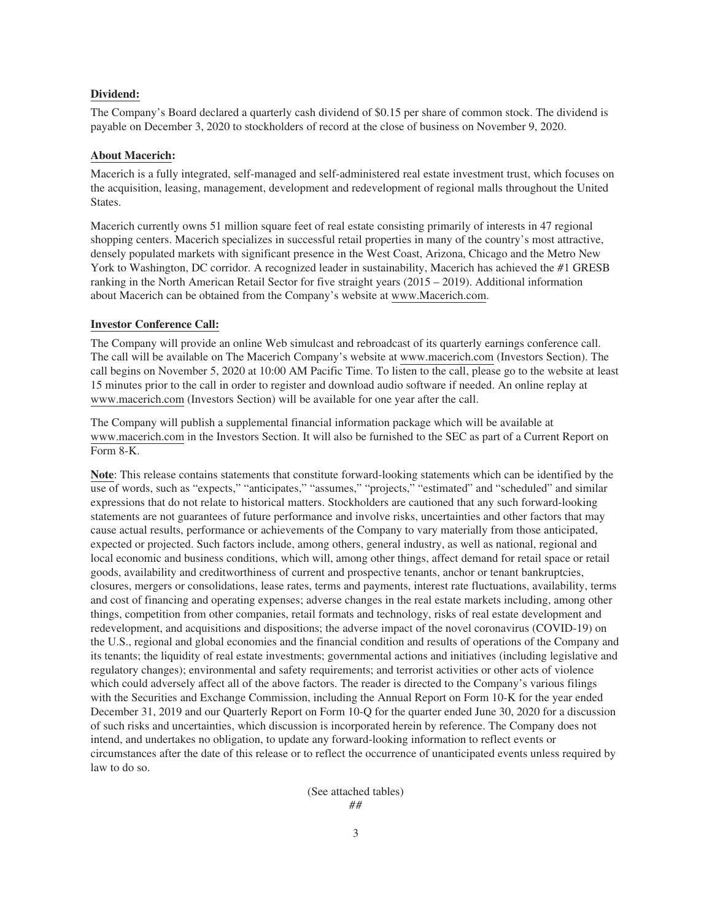#### **Dividend:**

The Company's Board declared a quarterly cash dividend of \$0.15 per share of common stock. The dividend is payable on December 3, 2020 to stockholders of record at the close of business on November 9, 2020.

#### **About Macerich:**

Macerich is a fully integrated, self-managed and self-administered real estate investment trust, which focuses on the acquisition, leasing, management, development and redevelopment of regional malls throughout the United States.

Macerich currently owns 51 million square feet of real estate consisting primarily of interests in 47 regional shopping centers. Macerich specializes in successful retail properties in many of the country's most attractive, densely populated markets with significant presence in the West Coast, Arizona, Chicago and the Metro New York to Washington, DC corridor. A recognized leader in sustainability, Macerich has achieved the #1 GRESB ranking in the North American Retail Sector for five straight years (2015 – 2019). Additional information about Macerich can be obtained from the Company's website at www.Macerich.com.

#### **Investor Conference Call:**

The Company will provide an online Web simulcast and rebroadcast of its quarterly earnings conference call. The call will be available on The Macerich Company's website at www.macerich.com (Investors Section). The call begins on November 5, 2020 at 10:00 AM Pacific Time. To listen to the call, please go to the website at least 15 minutes prior to the call in order to register and download audio software if needed. An online replay at www.macerich.com (Investors Section) will be available for one year after the call.

The Company will publish a supplemental financial information package which will be available at www.macerich.com in the Investors Section. It will also be furnished to the SEC as part of a Current Report on Form 8-K.

**Note**: This release contains statements that constitute forward-looking statements which can be identified by the use of words, such as "expects," "anticipates," "assumes," "projects," "estimated" and "scheduled" and similar expressions that do not relate to historical matters. Stockholders are cautioned that any such forward-looking statements are not guarantees of future performance and involve risks, uncertainties and other factors that may cause actual results, performance or achievements of the Company to vary materially from those anticipated, expected or projected. Such factors include, among others, general industry, as well as national, regional and local economic and business conditions, which will, among other things, affect demand for retail space or retail goods, availability and creditworthiness of current and prospective tenants, anchor or tenant bankruptcies, closures, mergers or consolidations, lease rates, terms and payments, interest rate fluctuations, availability, terms and cost of financing and operating expenses; adverse changes in the real estate markets including, among other things, competition from other companies, retail formats and technology, risks of real estate development and redevelopment, and acquisitions and dispositions; the adverse impact of the novel coronavirus (COVID-19) on the U.S., regional and global economies and the financial condition and results of operations of the Company and its tenants; the liquidity of real estate investments; governmental actions and initiatives (including legislative and regulatory changes); environmental and safety requirements; and terrorist activities or other acts of violence which could adversely affect all of the above factors. The reader is directed to the Company's various filings with the Securities and Exchange Commission, including the Annual Report on Form 10-K for the year ended December 31, 2019 and our Quarterly Report on Form 10-Q for the quarter ended June 30, 2020 for a discussion of such risks and uncertainties, which discussion is incorporated herein by reference. The Company does not intend, and undertakes no obligation, to update any forward-looking information to reflect events or circumstances after the date of this release or to reflect the occurrence of unanticipated events unless required by law to do so.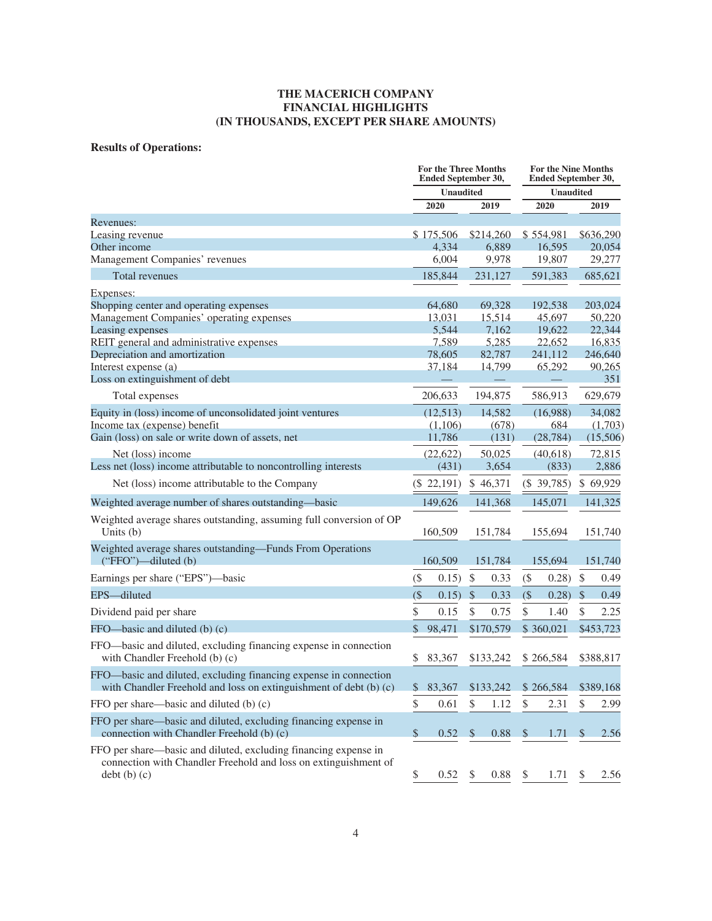# **Results of Operations:**

|                                                                                                                                                    | <b>For the Three Months</b><br>Ended September 30, |                  |                    | <b>For the Nine Months</b><br>Ended September 30, |               |                   |               |                   |
|----------------------------------------------------------------------------------------------------------------------------------------------------|----------------------------------------------------|------------------|--------------------|---------------------------------------------------|---------------|-------------------|---------------|-------------------|
|                                                                                                                                                    |                                                    | <b>Unaudited</b> |                    |                                                   |               | <b>Unaudited</b>  |               |                   |
|                                                                                                                                                    |                                                    | 2020             |                    | 2019                                              |               | 2020              |               | 2019              |
| Revenues:                                                                                                                                          |                                                    |                  |                    |                                                   |               |                   |               |                   |
| Leasing revenue                                                                                                                                    |                                                    | \$175,506        |                    | \$214,260                                         |               | \$554,981         |               | \$636,290         |
| Other income                                                                                                                                       |                                                    | 4,334            |                    | 6,889                                             |               | 16,595            |               | 20,054            |
| Management Companies' revenues                                                                                                                     |                                                    | 6,004            |                    | 9,978                                             |               | 19,807            |               | 29,277            |
| <b>Total revenues</b>                                                                                                                              |                                                    | 185,844          |                    | 231,127                                           |               | 591,383           |               | 685,621           |
| Expenses:                                                                                                                                          |                                                    |                  |                    |                                                   |               |                   |               |                   |
| Shopping center and operating expenses                                                                                                             |                                                    | 64,680           |                    | 69,328                                            |               | 192,538           |               | 203,024           |
| Management Companies' operating expenses                                                                                                           |                                                    | 13,031           |                    | 15,514                                            |               | 45,697            |               | 50,220            |
| Leasing expenses                                                                                                                                   |                                                    | 5,544            |                    | 7,162                                             |               | 19,622            |               | 22,344            |
| REIT general and administrative expenses<br>Depreciation and amortization                                                                          |                                                    | 7,589<br>78,605  |                    | 5,285<br>82,787                                   |               | 22,652<br>241,112 |               | 16,835<br>246,640 |
| Interest expense (a)                                                                                                                               |                                                    | 37,184           |                    | 14,799                                            |               | 65,292            |               | 90,265            |
| Loss on extinguishment of debt                                                                                                                     |                                                    |                  |                    |                                                   |               |                   |               | 351               |
| Total expenses                                                                                                                                     |                                                    | 206,633          |                    | 194,875                                           |               | 586,913           |               | 629,679           |
| Equity in (loss) income of unconsolidated joint ventures                                                                                           |                                                    | (12,513)         |                    | 14,582                                            |               | (16,988)          |               | 34,082            |
| Income tax (expense) benefit                                                                                                                       |                                                    | (1,106)          |                    | (678)                                             |               | 684               |               | (1,703)           |
| Gain (loss) on sale or write down of assets, net                                                                                                   |                                                    | 11,786           |                    | (131)                                             |               | (28, 784)         |               | (15,506)          |
| Net (loss) income                                                                                                                                  |                                                    | (22, 622)        | 50,025             |                                                   | (40,618)      |                   |               | 72,815            |
| Less net (loss) income attributable to noncontrolling interests                                                                                    |                                                    | (431)            |                    | 3,654                                             |               | (833)             |               | 2,886             |
| Net (loss) income attributable to the Company                                                                                                      |                                                    | $(\$ 22,191)$    | \$46,371           |                                                   | $(\$ 39,785)$ |                   | \$69,929      |                   |
| Weighted average number of shares outstanding—basic                                                                                                |                                                    | 149,626          | 141,368            |                                                   | 145,071       |                   |               | 141,325           |
| Weighted average shares outstanding, assuming full conversion of OP<br>Units (b)                                                                   |                                                    | 160,509          |                    | 151,784                                           |               | 155,694           |               | 151,740           |
| Weighted average shares outstanding-Funds From Operations<br>$("FFO")$ —diluted $(b)$                                                              |                                                    |                  | 160,509<br>151,784 |                                                   |               | 155,694           |               | 151,740           |
| Earnings per share ("EPS")—basic                                                                                                                   | $($ \$                                             | 0.15)            | $\$\,$             | 0.33                                              | $($ \$        | 0.28)             | $\mathcal{S}$ | 0.49              |
| EPS-diluted                                                                                                                                        | $($ \$                                             | 0.15)            | $\mathcal{S}$      | 0.33                                              | $($ \$        | 0.28)             | $\mathcal{S}$ | 0.49              |
| Dividend paid per share                                                                                                                            | \$                                                 | 0.15             | \$                 | 0.75                                              | \$            | 1.40              | \$            | 2.25              |
| FFO—basic and diluted (b) (c)                                                                                                                      | $\mathcal{S}$                                      | 98,471           |                    | \$170,579                                         |               | \$360,021         |               | \$453,723         |
| FFO—basic and diluted, excluding financing expense in connection<br>with Chandler Freehold (b) (c)                                                 | \$<br>83,367<br>\$133,242                          |                  | \$266,584          |                                                   |               | \$388,817         |               |                   |
| FFO-basic and diluted, excluding financing expense in connection<br>with Chandler Freehold and loss on extinguishment of debt (b) (c)              | \$                                                 | 83,367           |                    | \$133,242                                         |               | \$266,584         |               | \$389,168         |
| FFO per share—basic and diluted (b) (c)                                                                                                            | $\mathbb{S}$                                       | 0.61             | \$                 | 1.12                                              | \$            | 2.31              | \$            | 2.99              |
| FFO per share—basic and diluted, excluding financing expense in<br>connection with Chandler Freehold (b) (c)                                       | $\$\$                                              | 0.52             | <sup>\$</sup>      | 0.88                                              | <sup>\$</sup> | 1.71              | <sup>S</sup>  | 2.56              |
| FFO per share—basic and diluted, excluding financing expense in<br>connection with Chandler Freehold and loss on extinguishment of<br>debt (b) (c) | \$                                                 | 0.52             | \$                 | 0.88                                              | \$            | 1.71              |               | 2.56              |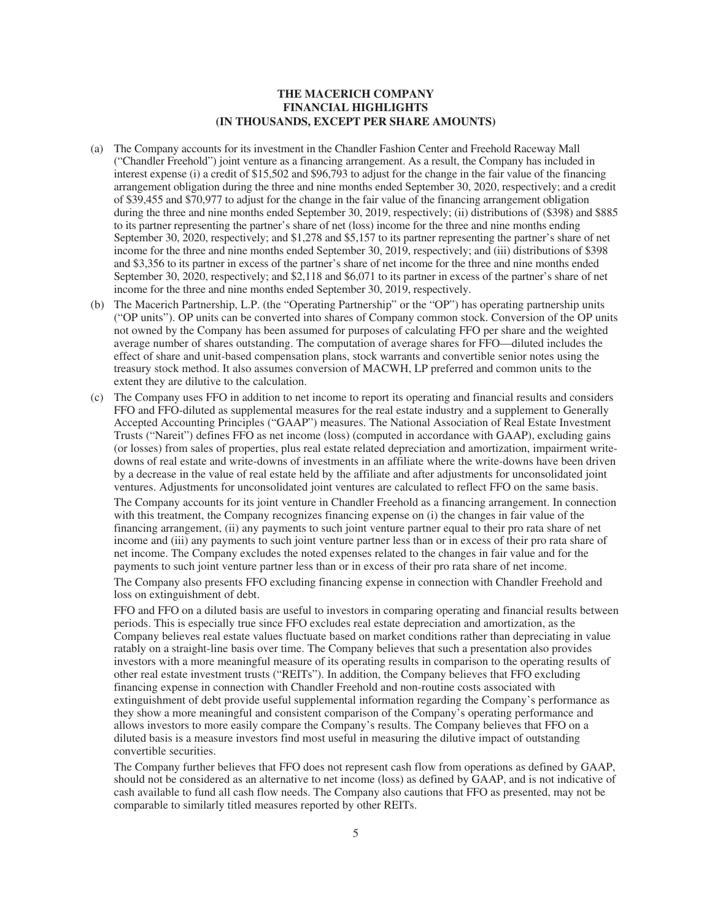- (a) The Company accounts for its investment in the Chandler Fashion Center and Freehold Raceway Mall ("Chandler Freehold") joint venture as a financing arrangement. As a result, the Company has included in interest expense (i) a credit of \$15,502 and \$96,793 to adjust for the change in the fair value of the financing arrangement obligation during the three and nine months ended September 30, 2020, respectively; and a credit of \$39,455 and \$70,977 to adjust for the change in the fair value of the financing arrangement obligation during the three and nine months ended September 30, 2019, respectively; (ii) distributions of (\$398) and \$885 to its partner representing the partner's share of net (loss) income for the three and nine months ending September 30, 2020, respectively; and \$1,278 and \$5,157 to its partner representing the partner's share of net income for the three and nine months ended September 30, 2019, respectively; and (iii) distributions of \$398 and \$3,356 to its partner in excess of the partner's share of net income for the three and nine months ended September 30, 2020, respectively; and \$2,118 and \$6,071 to its partner in excess of the partner's share of net income for the three and nine months ended September 30, 2019, respectively.
- (b) The Macerich Partnership, L.P. (the "Operating Partnership" or the "OP") has operating partnership units ("OP units"). OP units can be converted into shares of Company common stock. Conversion of the OP units not owned by the Company has been assumed for purposes of calculating FFO per share and the weighted average number of shares outstanding. The computation of average shares for FFO—diluted includes the effect of share and unit-based compensation plans, stock warrants and convertible senior notes using the treasury stock method. It also assumes conversion of MACWH, LP preferred and common units to the extent they are dilutive to the calculation.
- (c) The Company uses FFO in addition to net income to report its operating and financial results and considers FFO and FFO-diluted as supplemental measures for the real estate industry and a supplement to Generally Accepted Accounting Principles ("GAAP") measures. The National Association of Real Estate Investment Trusts ("Nareit") defines FFO as net income (loss) (computed in accordance with GAAP), excluding gains (or losses) from sales of properties, plus real estate related depreciation and amortization, impairment writedowns of real estate and write-downs of investments in an affiliate where the write-downs have been driven by a decrease in the value of real estate held by the affiliate and after adjustments for unconsolidated joint ventures. Adjustments for unconsolidated joint ventures are calculated to reflect FFO on the same basis. The Company accounts for its joint venture in Chandler Freehold as a financing arrangement. In connection with this treatment, the Company recognizes financing expense on (i) the changes in fair value of the financing arrangement, (ii) any payments to such joint venture partner equal to their pro rata share of net income and (iii) any payments to such joint venture partner less than or in excess of their pro rata share of net income. The Company excludes the noted expenses related to the changes in fair value and for the payments to such joint venture partner less than or in excess of their pro rata share of net income.

The Company also presents FFO excluding financing expense in connection with Chandler Freehold and loss on extinguishment of debt.

FFO and FFO on a diluted basis are useful to investors in comparing operating and financial results between periods. This is especially true since FFO excludes real estate depreciation and amortization, as the Company believes real estate values fluctuate based on market conditions rather than depreciating in value ratably on a straight-line basis over time. The Company believes that such a presentation also provides investors with a more meaningful measure of its operating results in comparison to the operating results of other real estate investment trusts ("REITs"). In addition, the Company believes that FFO excluding financing expense in connection with Chandler Freehold and non-routine costs associated with extinguishment of debt provide useful supplemental information regarding the Company's performance as they show a more meaningful and consistent comparison of the Company's operating performance and allows investors to more easily compare the Company's results. The Company believes that FFO on a diluted basis is a measure investors find most useful in measuring the dilutive impact of outstanding convertible securities.

The Company further believes that FFO does not represent cash flow from operations as defined by GAAP, should not be considered as an alternative to net income (loss) as defined by GAAP, and is not indicative of cash available to fund all cash flow needs. The Company also cautions that FFO as presented, may not be comparable to similarly titled measures reported by other REITs.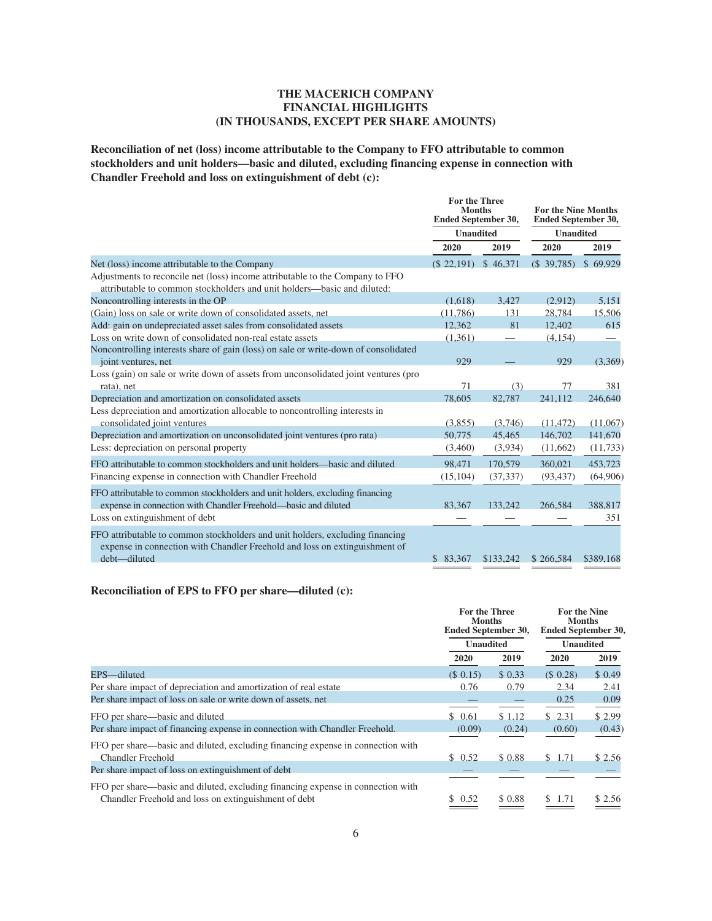**Reconciliation of net (loss) income attributable to the Company to FFO attributable to common stockholders and unit holders—basic and diluted, excluding financing expense in connection with Chandler Freehold and loss on extinguishment of debt (c):**

|                                                                                                                                                          | For the Three<br><b>Months</b><br><b>Ended September 30,</b> |           | <b>For the Nine Months</b><br>Ended September 30, |           |  |  |
|----------------------------------------------------------------------------------------------------------------------------------------------------------|--------------------------------------------------------------|-----------|---------------------------------------------------|-----------|--|--|
|                                                                                                                                                          | <b>Unaudited</b>                                             |           | <b>Unaudited</b>                                  |           |  |  |
|                                                                                                                                                          | 2020                                                         | 2019      | 2020                                              | 2019      |  |  |
| Net (loss) income attributable to the Company                                                                                                            | $(S$ 22,191)                                                 | \$46,371  | $(S\ 39,785)$                                     | \$69.929  |  |  |
| Adjustments to reconcile net (loss) income attributable to the Company to FFO<br>attributable to common stockholders and unit holders—basic and diluted: |                                                              |           |                                                   |           |  |  |
| Noncontrolling interests in the OP                                                                                                                       | (1,618)                                                      | 3.427     | (2,912)                                           | 5,151     |  |  |
| (Gain) loss on sale or write down of consolidated assets, net                                                                                            | (11, 786)                                                    | 131       | 28,784                                            | 15,506    |  |  |
| Add: gain on undepreciated asset sales from consolidated assets                                                                                          | 12,362                                                       | 81        | 12,402                                            | 615       |  |  |
| Loss on write down of consolidated non-real estate assets                                                                                                | (1, 361)                                                     |           | (4, 154)                                          |           |  |  |
| Noncontrolling interests share of gain (loss) on sale or write-down of consolidated                                                                      |                                                              |           |                                                   |           |  |  |
| joint ventures, net                                                                                                                                      | 929                                                          |           | 929                                               | (3,369)   |  |  |
| Loss (gain) on sale or write down of assets from unconsolidated joint ventures (pro                                                                      |                                                              |           |                                                   |           |  |  |
| rata), net                                                                                                                                               | 71                                                           | (3)       | 77                                                | 381       |  |  |
| Depreciation and amortization on consolidated assets                                                                                                     | 78,605                                                       | 82,787    | 241,112                                           | 246,640   |  |  |
| Less depreciation and amortization allocable to noncontrolling interests in                                                                              |                                                              |           |                                                   |           |  |  |
| consolidated joint ventures                                                                                                                              | (3,855)                                                      | (3,746)   | (11, 472)                                         | (11,067)  |  |  |
| Depreciation and amortization on unconsolidated joint ventures (pro rata)                                                                                | 50,775                                                       | 45,465    | 146,702                                           | 141,670   |  |  |
| Less: depreciation on personal property                                                                                                                  | (3,460)                                                      | (3,934)   | (11,662)                                          | (11, 733) |  |  |
| FFO attributable to common stockholders and unit holders—basic and diluted                                                                               | 98,471                                                       | 170,579   | 360,021                                           | 453,723   |  |  |
| Financing expense in connection with Chandler Freehold                                                                                                   | (15, 104)                                                    | (37, 337) | (93, 437)                                         | (64,906)  |  |  |
| FFO attributable to common stockholders and unit holders, excluding financing                                                                            |                                                              |           |                                                   |           |  |  |
| expense in connection with Chandler Freehold—basic and diluted                                                                                           | 83,367                                                       | 133,242   | 266,584                                           | 388,817   |  |  |
| Loss on extinguishment of debt                                                                                                                           |                                                              |           |                                                   | 351       |  |  |
| FFO attributable to common stockholders and unit holders, excluding financing                                                                            |                                                              |           |                                                   |           |  |  |
| expense in connection with Chandler Freehold and loss on extinguishment of                                                                               |                                                              |           |                                                   |           |  |  |
| debt-diluted                                                                                                                                             | \$ 83,367                                                    | \$133,242 | \$266,584                                         | \$389,168 |  |  |
|                                                                                                                                                          |                                                              |           |                                                   |           |  |  |

#### **Reconciliation of EPS to FFO per share—diluted (c):**

|                                                                                 | For the Three<br><b>Months</b><br><b>Ended September 30,</b> |         | <b>For the Nine</b><br><b>Months</b><br><b>Ended September 30.</b> |        |  |  |
|---------------------------------------------------------------------------------|--------------------------------------------------------------|---------|--------------------------------------------------------------------|--------|--|--|
|                                                                                 | <b>Unaudited</b>                                             |         | <b>Unaudited</b>                                                   |        |  |  |
|                                                                                 | 2020                                                         | 2019    | 2020                                                               | 2019   |  |  |
| EPS-diluted                                                                     | $(S \ 0.15)$                                                 | \$0.33  | $(S\ 0.28)$                                                        | \$0.49 |  |  |
| Per share impact of depreciation and amortization of real estate                | 0.76                                                         | 0.79    | 2.34                                                               | 2.41   |  |  |
| Per share impact of loss on sale or write down of assets, net                   |                                                              |         | 0.25                                                               | 0.09   |  |  |
| FFO per share—basic and diluted                                                 | \$0.61                                                       | \$1.12  | \$2.31                                                             | \$2.99 |  |  |
| Per share impact of financing expense in connection with Chandler Freehold.     | (0.09)                                                       | (0.24)  | (0.60)                                                             | (0.43) |  |  |
| FFO per share—basic and diluted, excluding financing expense in connection with |                                                              |         |                                                                    |        |  |  |
| <b>Chandler Freehold</b>                                                        | \$0.52                                                       | \$ 0.88 | \$1.71                                                             | \$2.56 |  |  |
| Per share impact of loss on extinguishment of debt                              |                                                              |         |                                                                    |        |  |  |
| FFO per share—basic and diluted, excluding financing expense in connection with |                                                              |         |                                                                    |        |  |  |
| Chandler Freehold and loss on extinguishment of debt                            | \$0.52                                                       | \$ 0.88 | \$ 1.71                                                            | \$2.56 |  |  |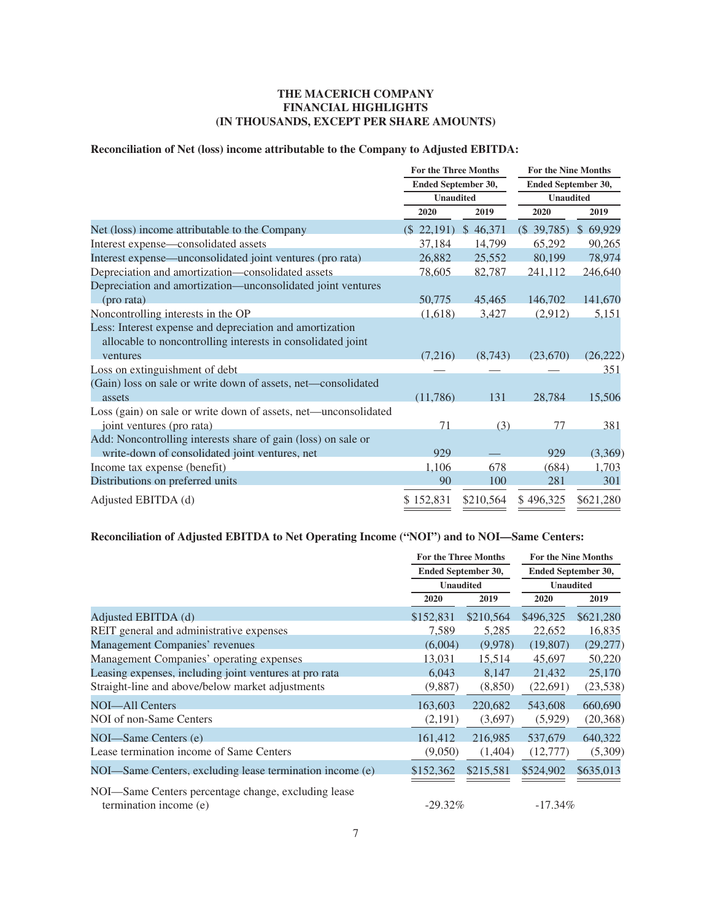# **Reconciliation of Net (loss) income attributable to the Company to Adjusted EBITDA:**

|                                                                 | <b>For the Three Months</b> |           | <b>For the Nine Months</b> |                        |  |  |
|-----------------------------------------------------------------|-----------------------------|-----------|----------------------------|------------------------|--|--|
|                                                                 | Ended September 30,         |           | Ended September 30,        |                        |  |  |
|                                                                 | <b>Unaudited</b>            |           | <b>Unaudited</b>           |                        |  |  |
|                                                                 | 2020                        | 2019      | 2020                       | 2019                   |  |  |
| Net (loss) income attributable to the Company                   | $(\$ 22,191)$               | \$46,371  | $(\$$ 39,785)              | $\mathbb{S}$<br>69,929 |  |  |
| Interest expense—consolidated assets                            | 37,184                      | 14,799    | 65,292                     | 90,265                 |  |  |
| Interest expense—unconsolidated joint ventures (pro rata)       | 26,882                      | 25,552    | 80,199                     | 78,974                 |  |  |
| Depreciation and amortization-consolidated assets               | 78,605                      | 82,787    | 241,112                    | 246,640                |  |  |
| Depreciation and amortization—unconsolidated joint ventures     |                             |           |                            |                        |  |  |
| (pro rata)                                                      | 50,775                      | 45,465    | 146,702                    | 141,670                |  |  |
| Noncontrolling interests in the OP                              | (1,618)                     | 3,427     | (2,912)                    | 5,151                  |  |  |
| Less: Interest expense and depreciation and amortization        |                             |           |                            |                        |  |  |
| allocable to noncontrolling interests in consolidated joint     |                             |           |                            |                        |  |  |
| ventures                                                        | (7,216)                     | (8,743)   | (23,670)                   | (26, 222)              |  |  |
| Loss on extinguishment of debt                                  |                             |           |                            | 351                    |  |  |
| (Gain) loss on sale or write down of assets, net-consolidated   |                             |           |                            |                        |  |  |
| assets                                                          | (11,786)                    | 131       | 28,784                     | 15,506                 |  |  |
| Loss (gain) on sale or write down of assets, net—unconsolidated |                             |           |                            |                        |  |  |
| joint ventures (pro rata)                                       | 71                          | (3)       | 77                         | 381                    |  |  |
| Add: Noncontrolling interests share of gain (loss) on sale or   |                             |           |                            |                        |  |  |
| write-down of consolidated joint ventures, net                  | 929                         |           | 929                        | (3,369)                |  |  |
| Income tax expense (benefit)                                    | 1,106                       | 678       | (684)                      | 1,703                  |  |  |
| Distributions on preferred units                                | 90                          | 100       | 281                        | 301                    |  |  |
| Adjusted EBITDA (d)                                             | \$152,831                   | \$210,564 | \$496,325                  | \$621,280              |  |  |

# **Reconciliation of Adjusted EBITDA to Net Operating Income ("NOI") and to NOI—Same Centers:**

|                                                          | <b>For the Three Months</b> |           | <b>For the Nine Months</b> |           |  |  |
|----------------------------------------------------------|-----------------------------|-----------|----------------------------|-----------|--|--|
|                                                          | Ended September 30,         |           | <b>Ended September 30,</b> |           |  |  |
|                                                          | <b>Unaudited</b>            |           | <b>Unaudited</b>           |           |  |  |
|                                                          | 2020                        | 2019      | 2020                       | 2019      |  |  |
| Adjusted EBITDA (d)                                      | \$152,831                   | \$210,564 | \$496,325                  | \$621,280 |  |  |
| REIT general and administrative expenses                 | 7,589                       | 5,285     | 22,652                     | 16,835    |  |  |
| Management Companies' revenues                           | (6,004)                     | (9,978)   | (19,807)                   | (29,277)  |  |  |
| Management Companies' operating expenses                 | 13,031                      | 15,514    | 45,697                     | 50,220    |  |  |
| Leasing expenses, including joint ventures at pro rata   | 6,043                       | 8,147     | 21,432                     | 25,170    |  |  |
| Straight-line and above/below market adjustments         | (9,887)                     | (8, 850)  | (22,691)                   | (23, 538) |  |  |
| NOI—All Centers                                          | 163,603                     | 220,682   | 543,608                    | 660,690   |  |  |
| NOI of non-Same Centers                                  | (2,191)                     | (3,697)   | (5,929)                    | (20, 368) |  |  |
| NOI—Same Centers (e)                                     | 161.412                     | 216,985   | 537,679                    | 640,322   |  |  |
| Lease termination income of Same Centers                 | (9,050)                     | (1,404)   | (12,777)                   | (5,309)   |  |  |
| NOI—Same Centers, excluding lease termination income (e) | \$152,362                   | \$215,581 | \$524,902                  | \$635,013 |  |  |
| NOI—Same Centers percentage change, excluding lease      |                             |           |                            |           |  |  |
| termination income (e)                                   | $-29.32\%$                  |           | $-17.34\%$                 |           |  |  |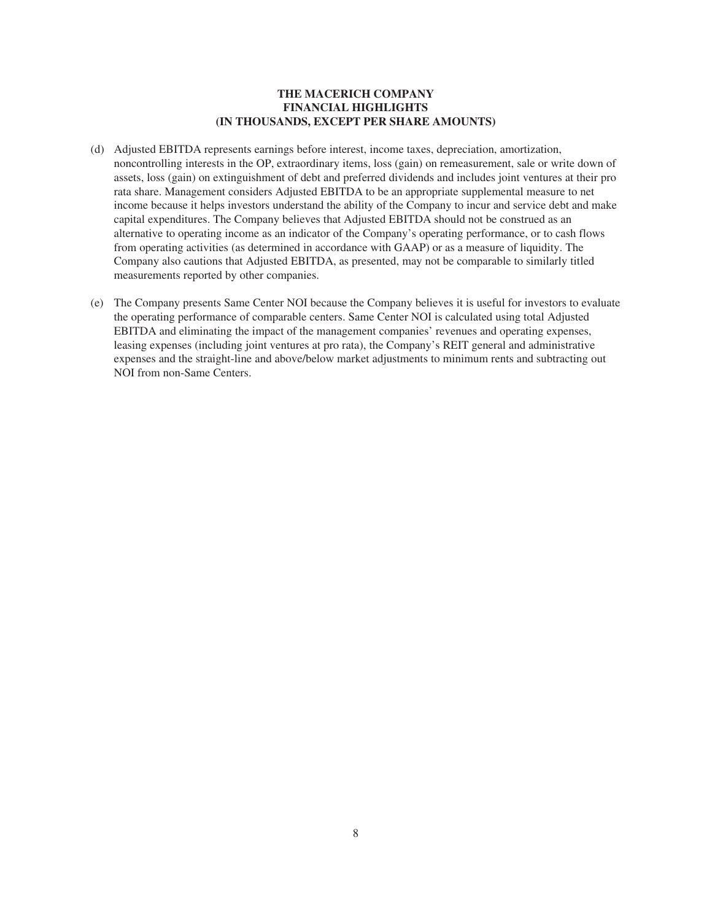- (d) Adjusted EBITDA represents earnings before interest, income taxes, depreciation, amortization, noncontrolling interests in the OP, extraordinary items, loss (gain) on remeasurement, sale or write down of assets, loss (gain) on extinguishment of debt and preferred dividends and includes joint ventures at their pro rata share. Management considers Adjusted EBITDA to be an appropriate supplemental measure to net income because it helps investors understand the ability of the Company to incur and service debt and make capital expenditures. The Company believes that Adjusted EBITDA should not be construed as an alternative to operating income as an indicator of the Company's operating performance, or to cash flows from operating activities (as determined in accordance with GAAP) or as a measure of liquidity. The Company also cautions that Adjusted EBITDA, as presented, may not be comparable to similarly titled measurements reported by other companies.
- (e) The Company presents Same Center NOI because the Company believes it is useful for investors to evaluate the operating performance of comparable centers. Same Center NOI is calculated using total Adjusted EBITDA and eliminating the impact of the management companies' revenues and operating expenses, leasing expenses (including joint ventures at pro rata), the Company's REIT general and administrative expenses and the straight-line and above/below market adjustments to minimum rents and subtracting out NOI from non-Same Centers.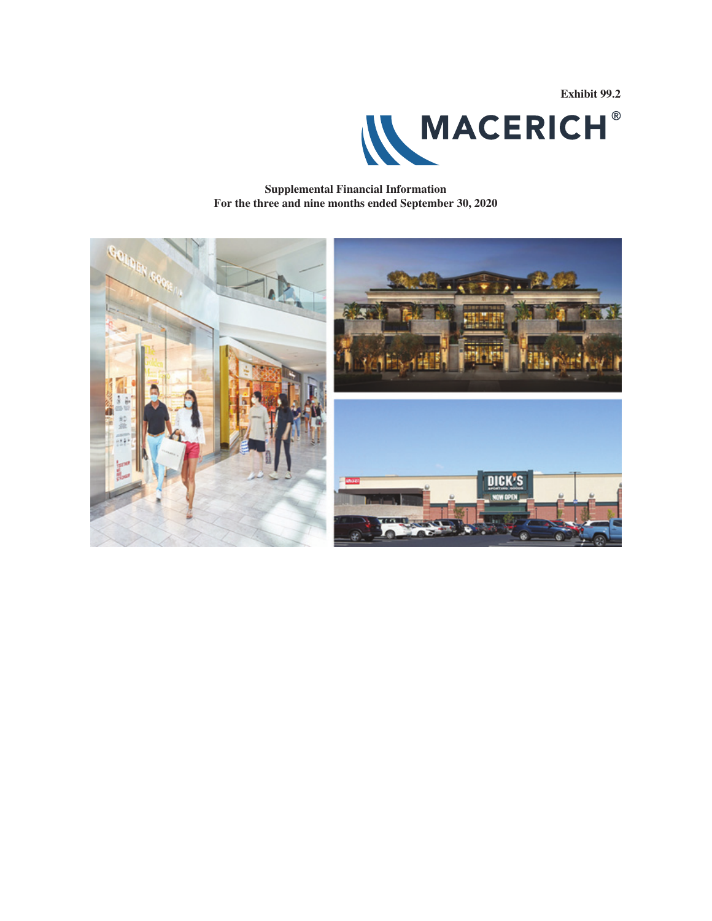**Exhibit 99.2**



**Supplemental Financial Information For the three and nine months ended September 30, 2020**

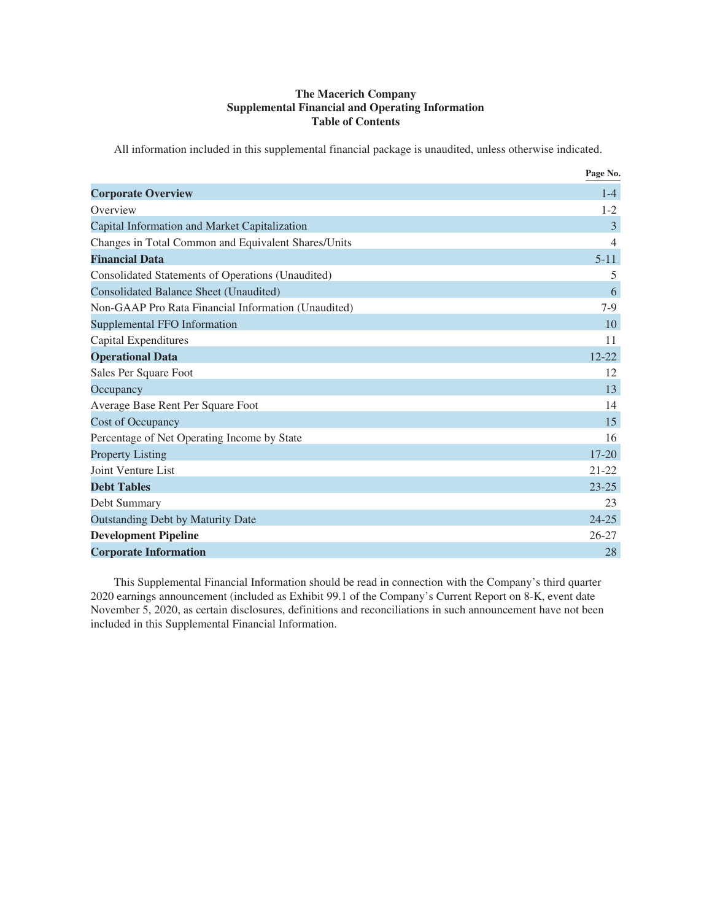# **The Macerich Company Supplemental Financial and Operating Information Table of Contents**

All information included in this supplemental financial package is unaudited, unless otherwise indicated.

|                                                     | Page No.       |
|-----------------------------------------------------|----------------|
| <b>Corporate Overview</b>                           | $1 - 4$        |
| Overview                                            | $1 - 2$        |
| Capital Information and Market Capitalization       | 3              |
| Changes in Total Common and Equivalent Shares/Units | $\overline{4}$ |
| <b>Financial Data</b>                               | $5 - 11$       |
| Consolidated Statements of Operations (Unaudited)   | 5              |
| Consolidated Balance Sheet (Unaudited)              | 6              |
| Non-GAAP Pro Rata Financial Information (Unaudited) | $7-9$          |
| Supplemental FFO Information                        | 10             |
| Capital Expenditures                                | 11             |
| <b>Operational Data</b>                             | $12 - 22$      |
| Sales Per Square Foot                               | 12             |
| Occupancy                                           | 13             |
| Average Base Rent Per Square Foot                   | 14             |
| <b>Cost of Occupancy</b>                            | 15             |
| Percentage of Net Operating Income by State         | 16             |
| <b>Property Listing</b>                             | $17 - 20$      |
| <b>Joint Venture List</b>                           | $21 - 22$      |
| <b>Debt Tables</b>                                  | $23 - 25$      |
| Debt Summary                                        | 23             |
| <b>Outstanding Debt by Maturity Date</b>            | $24 - 25$      |
| <b>Development Pipeline</b>                         | $26 - 27$      |
| <b>Corporate Information</b>                        | 28             |

This Supplemental Financial Information should be read in connection with the Company's third quarter 2020 earnings announcement (included as Exhibit 99.1 of the Company's Current Report on 8-K, event date November 5, 2020, as certain disclosures, definitions and reconciliations in such announcement have not been included in this Supplemental Financial Information.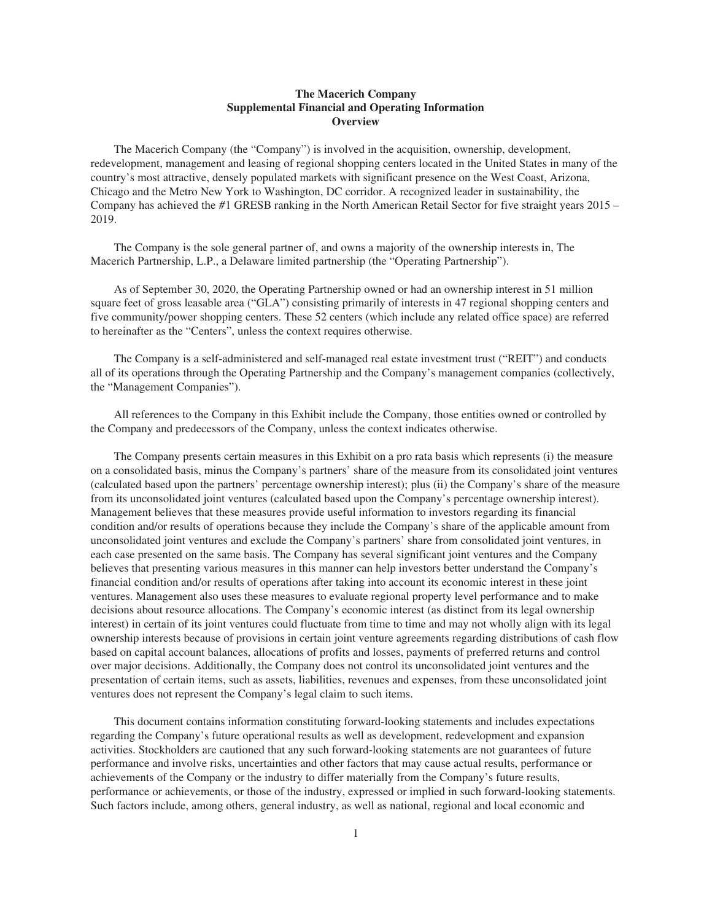#### **The Macerich Company Supplemental Financial and Operating Information Overview**

The Macerich Company (the "Company") is involved in the acquisition, ownership, development, redevelopment, management and leasing of regional shopping centers located in the United States in many of the country's most attractive, densely populated markets with significant presence on the West Coast, Arizona, Chicago and the Metro New York to Washington, DC corridor. A recognized leader in sustainability, the Company has achieved the #1 GRESB ranking in the North American Retail Sector for five straight years 2015 – 2019.

The Company is the sole general partner of, and owns a majority of the ownership interests in, The Macerich Partnership, L.P., a Delaware limited partnership (the "Operating Partnership").

As of September 30, 2020, the Operating Partnership owned or had an ownership interest in 51 million square feet of gross leasable area ("GLA") consisting primarily of interests in 47 regional shopping centers and five community/power shopping centers. These 52 centers (which include any related office space) are referred to hereinafter as the "Centers", unless the context requires otherwise.

The Company is a self-administered and self-managed real estate investment trust ("REIT") and conducts all of its operations through the Operating Partnership and the Company's management companies (collectively, the "Management Companies").

All references to the Company in this Exhibit include the Company, those entities owned or controlled by the Company and predecessors of the Company, unless the context indicates otherwise.

The Company presents certain measures in this Exhibit on a pro rata basis which represents (i) the measure on a consolidated basis, minus the Company's partners' share of the measure from its consolidated joint ventures (calculated based upon the partners' percentage ownership interest); plus (ii) the Company's share of the measure from its unconsolidated joint ventures (calculated based upon the Company's percentage ownership interest). Management believes that these measures provide useful information to investors regarding its financial condition and/or results of operations because they include the Company's share of the applicable amount from unconsolidated joint ventures and exclude the Company's partners' share from consolidated joint ventures, in each case presented on the same basis. The Company has several significant joint ventures and the Company believes that presenting various measures in this manner can help investors better understand the Company's financial condition and/or results of operations after taking into account its economic interest in these joint ventures. Management also uses these measures to evaluate regional property level performance and to make decisions about resource allocations. The Company's economic interest (as distinct from its legal ownership interest) in certain of its joint ventures could fluctuate from time to time and may not wholly align with its legal ownership interests because of provisions in certain joint venture agreements regarding distributions of cash flow based on capital account balances, allocations of profits and losses, payments of preferred returns and control over major decisions. Additionally, the Company does not control its unconsolidated joint ventures and the presentation of certain items, such as assets, liabilities, revenues and expenses, from these unconsolidated joint ventures does not represent the Company's legal claim to such items.

This document contains information constituting forward-looking statements and includes expectations regarding the Company's future operational results as well as development, redevelopment and expansion activities. Stockholders are cautioned that any such forward-looking statements are not guarantees of future performance and involve risks, uncertainties and other factors that may cause actual results, performance or achievements of the Company or the industry to differ materially from the Company's future results, performance or achievements, or those of the industry, expressed or implied in such forward-looking statements. Such factors include, among others, general industry, as well as national, regional and local economic and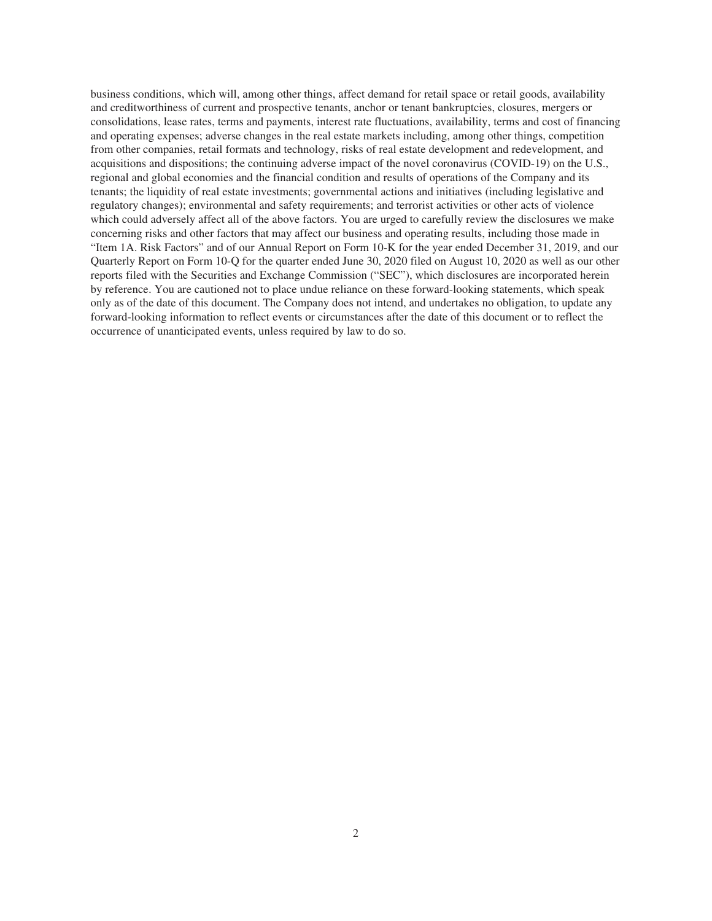business conditions, which will, among other things, affect demand for retail space or retail goods, availability and creditworthiness of current and prospective tenants, anchor or tenant bankruptcies, closures, mergers or consolidations, lease rates, terms and payments, interest rate fluctuations, availability, terms and cost of financing and operating expenses; adverse changes in the real estate markets including, among other things, competition from other companies, retail formats and technology, risks of real estate development and redevelopment, and acquisitions and dispositions; the continuing adverse impact of the novel coronavirus (COVID-19) on the U.S., regional and global economies and the financial condition and results of operations of the Company and its tenants; the liquidity of real estate investments; governmental actions and initiatives (including legislative and regulatory changes); environmental and safety requirements; and terrorist activities or other acts of violence which could adversely affect all of the above factors. You are urged to carefully review the disclosures we make concerning risks and other factors that may affect our business and operating results, including those made in "Item 1A. Risk Factors" and of our Annual Report on Form 10-K for the year ended December 31, 2019, and our Quarterly Report on Form 10-Q for the quarter ended June 30, 2020 filed on August 10, 2020 as well as our other reports filed with the Securities and Exchange Commission ("SEC"), which disclosures are incorporated herein by reference. You are cautioned not to place undue reliance on these forward-looking statements, which speak only as of the date of this document. The Company does not intend, and undertakes no obligation, to update any forward-looking information to reflect events or circumstances after the date of this document or to reflect the occurrence of unanticipated events, unless required by law to do so.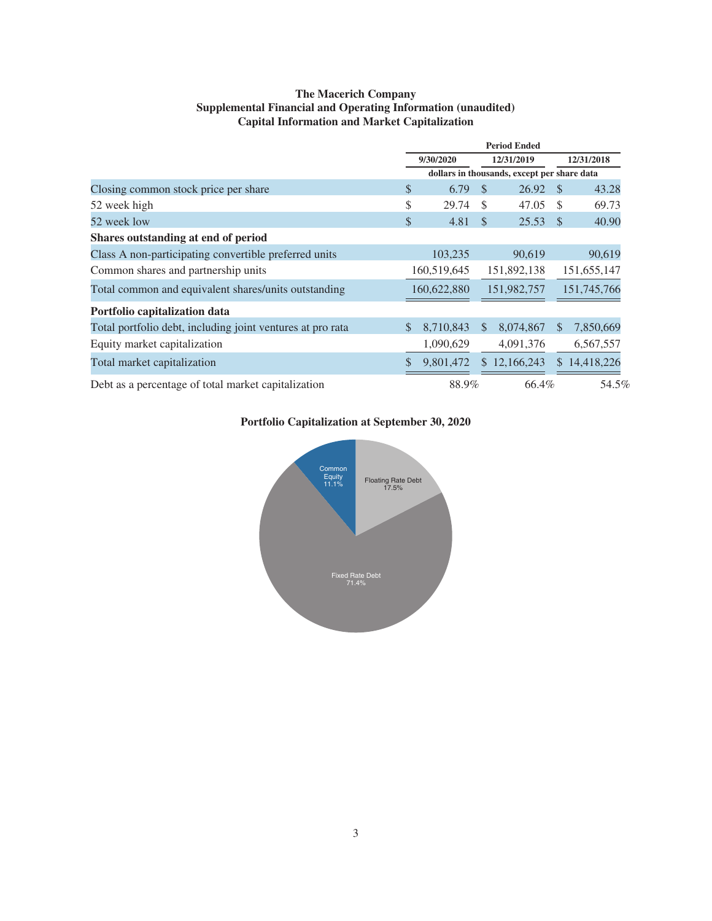# **The Macerich Company Supplemental Financial and Operating Information (unaudited) Capital Information and Market Capitalization**

|                                                            |              | <b>Period Ended</b> |                                             |              |                |             |  |
|------------------------------------------------------------|--------------|---------------------|---------------------------------------------|--------------|----------------|-------------|--|
|                                                            |              | 9/30/2020           | 12/31/2019                                  |              | 12/31/2018     |             |  |
|                                                            |              |                     | dollars in thousands, except per share data |              |                |             |  |
| Closing common stock price per share                       | \$           | 6.79                | <sup>\$</sup>                               | $26.92$ \$   |                | 43.28       |  |
| 52 week high                                               | \$           | 29.74               | <sup>\$</sup>                               | 47.05        | S              | 69.73       |  |
| 52 week low                                                | \$           | 4.81                | <sup>\$</sup>                               | $25.53$ \$   |                | 40.90       |  |
| Shares outstanding at end of period                        |              |                     |                                             |              |                |             |  |
| Class A non-participating convertible preferred units      |              | 103,235             |                                             | 90,619       |                | 90,619      |  |
| Common shares and partnership units                        |              | 160,519,645         |                                             | 151,892,138  |                | 151,655,147 |  |
| Total common and equivalent shares/units outstanding       |              | 160,622,880         |                                             | 151,982,757  |                | 151,745,766 |  |
| Portfolio capitalization data                              |              |                     |                                             |              |                |             |  |
| Total portfolio debt, including joint ventures at pro rata | $\mathbb{S}$ | 8,710,843           | <sup>\$</sup>                               | 8,074,867    | \$.            | 7,850,669   |  |
| Equity market capitalization                               |              | 1,090,629           |                                             | 4,091,376    |                | 6,567,557   |  |
| Total market capitalization                                | \$           | 9,801,472           |                                             | \$12,166,243 | $\mathbb{S}^-$ | 14,418,226  |  |
| Debt as a percentage of total market capitalization        |              | 88.9%               |                                             | 66.4%        |                | 54.5%       |  |

# **Portfolio Capitalization at September 30, 2020**

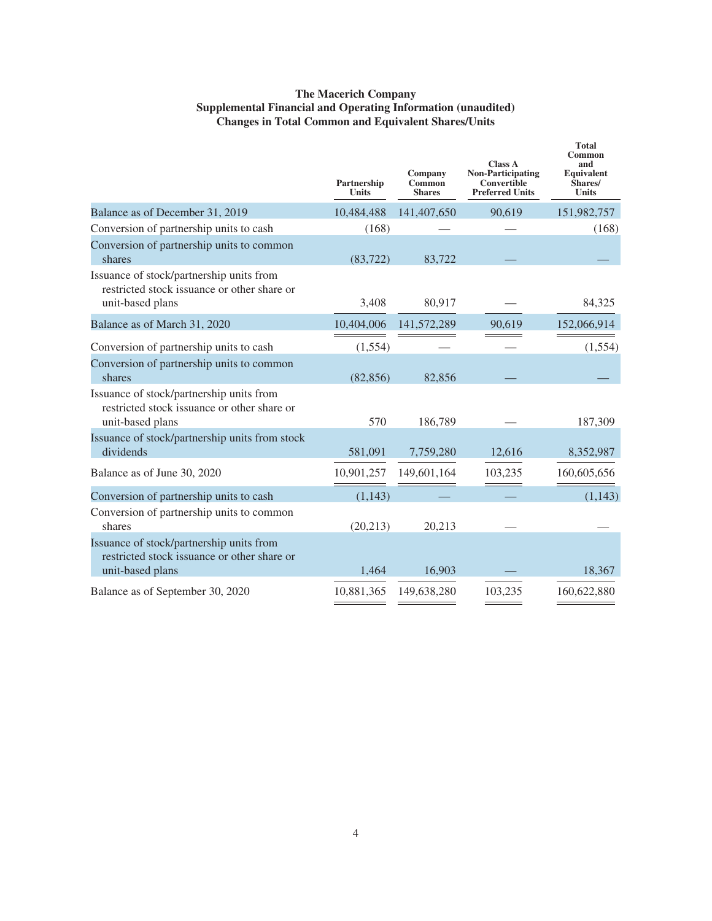# **The Macerich Company Supplemental Financial and Operating Information (unaudited) Changes in Total Common and Equivalent Shares/Units**

|                                                                                                             | Partnership<br><b>Units</b> | Company<br>Common<br><b>Shares</b> | <b>Class A</b><br><b>Non-Participating</b><br>Convertible<br><b>Preferred Units</b> | <b>Total</b><br>Common<br>and<br>Equivalent<br>Shares/<br><b>Units</b> |
|-------------------------------------------------------------------------------------------------------------|-----------------------------|------------------------------------|-------------------------------------------------------------------------------------|------------------------------------------------------------------------|
| Balance as of December 31, 2019                                                                             | 10,484,488                  | 141,407,650                        | 90,619                                                                              | 151,982,757                                                            |
| Conversion of partnership units to cash                                                                     | (168)                       |                                    |                                                                                     | (168)                                                                  |
| Conversion of partnership units to common<br>shares                                                         | (83, 722)                   | 83,722                             |                                                                                     |                                                                        |
| Issuance of stock/partnership units from<br>restricted stock issuance or other share or<br>unit-based plans | 3,408                       | 80,917                             |                                                                                     | 84,325                                                                 |
| Balance as of March 31, 2020                                                                                | 10,404,006                  | 141,572,289                        | 90,619                                                                              | 152,066,914                                                            |
| Conversion of partnership units to cash                                                                     | (1, 554)                    |                                    |                                                                                     | (1,554)                                                                |
| Conversion of partnership units to common<br>shares                                                         | (82, 856)                   | 82,856                             |                                                                                     |                                                                        |
| Issuance of stock/partnership units from<br>restricted stock issuance or other share or<br>unit-based plans | 570                         | 186,789                            |                                                                                     | 187,309                                                                |
| Issuance of stock/partnership units from stock<br>dividends                                                 | 581,091                     | 7,759,280                          | 12,616                                                                              | 8,352,987                                                              |
| Balance as of June 30, 2020                                                                                 | 10,901,257                  | 149,601,164                        | 103,235                                                                             | 160,605,656                                                            |
| Conversion of partnership units to cash                                                                     | (1, 143)                    |                                    |                                                                                     | (1, 143)                                                               |
| Conversion of partnership units to common<br>shares                                                         | (20, 213)                   | 20,213                             |                                                                                     |                                                                        |
| Issuance of stock/partnership units from<br>restricted stock issuance or other share or<br>unit-based plans | 1,464                       | 16,903                             |                                                                                     | 18,367                                                                 |
| Balance as of September 30, 2020                                                                            | 10,881,365                  | 149,638,280                        | 103,235                                                                             | 160,622,880                                                            |
|                                                                                                             |                             |                                    |                                                                                     |                                                                        |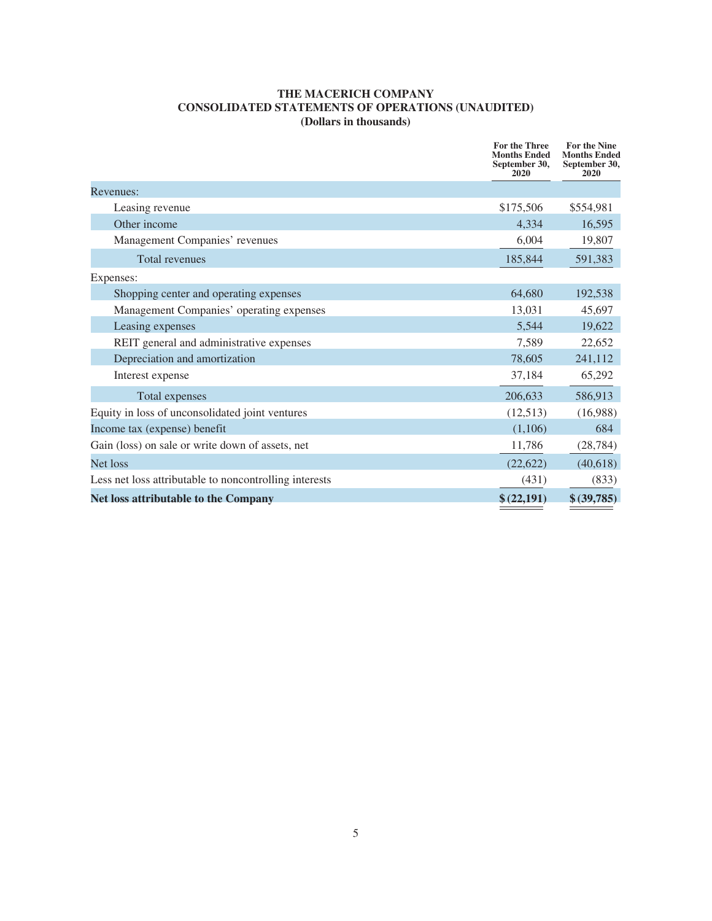# **THE MACERICH COMPANY CONSOLIDATED STATEMENTS OF OPERATIONS (UNAUDITED) (Dollars in thousands)**

|                                                        | For the Three<br><b>Months Ended</b><br>September 30,<br>2020 | <b>For the Nine</b><br><b>Months Ended</b><br>September 30,<br>2020 |
|--------------------------------------------------------|---------------------------------------------------------------|---------------------------------------------------------------------|
| Revenues:                                              |                                                               |                                                                     |
| Leasing revenue                                        | \$175,506                                                     | \$554,981                                                           |
| Other income                                           | 4,334                                                         | 16,595                                                              |
| Management Companies' revenues                         | 6,004                                                         | 19,807                                                              |
| <b>Total revenues</b>                                  | 185,844                                                       | 591,383                                                             |
| Expenses:                                              |                                                               |                                                                     |
| Shopping center and operating expenses                 | 64,680                                                        | 192,538                                                             |
| Management Companies' operating expenses               | 13,031                                                        | 45,697                                                              |
| Leasing expenses                                       | 5,544                                                         | 19,622                                                              |
| REIT general and administrative expenses               | 7,589                                                         | 22,652                                                              |
| Depreciation and amortization                          | 78,605                                                        | 241,112                                                             |
| Interest expense                                       | 37,184                                                        | 65,292                                                              |
| Total expenses                                         | 206,633                                                       | 586,913                                                             |
| Equity in loss of unconsolidated joint ventures        | (12,513)                                                      | (16,988)                                                            |
| Income tax (expense) benefit                           | (1,106)                                                       | 684                                                                 |
| Gain (loss) on sale or write down of assets, net       | 11,786                                                        | (28, 784)                                                           |
| Net loss                                               | (22, 622)                                                     | (40,618)                                                            |
| Less net loss attributable to noncontrolling interests | (431)                                                         | (833)                                                               |
| <b>Net loss attributable to the Company</b>            | \$ (22,191)                                                   | \$ (39, 785)                                                        |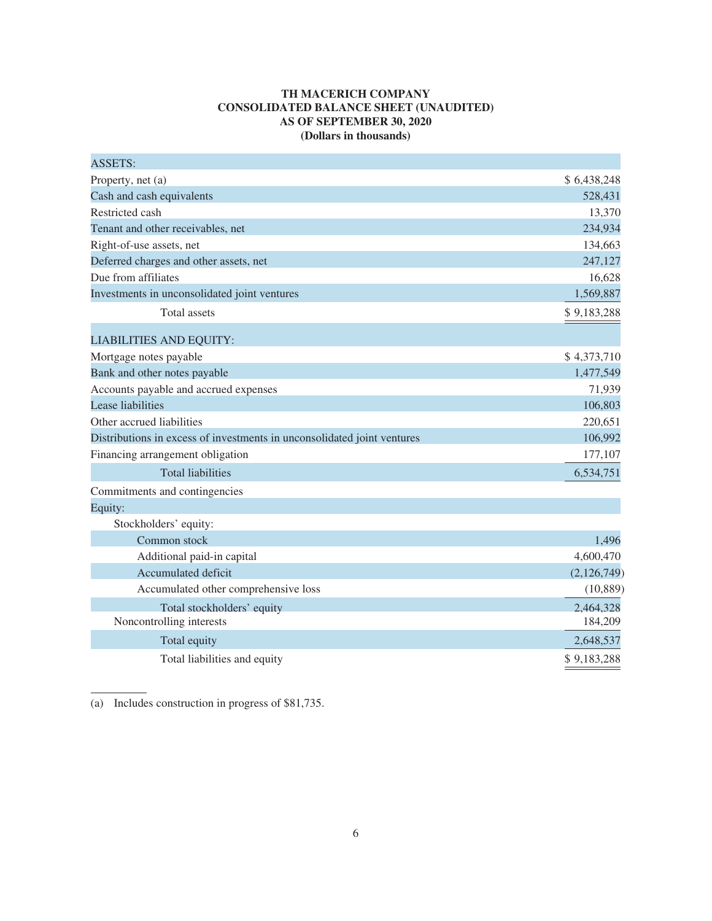# **TH MACERICH COMPANY CONSOLIDATED BALANCE SHEET (UNAUDITED) AS OF SEPTEMBER 30, 2020 (Dollars in thousands)**

| <b>ASSETS:</b>                                                          |             |
|-------------------------------------------------------------------------|-------------|
| Property, net (a)                                                       | \$6,438,248 |
| Cash and cash equivalents                                               | 528,431     |
| Restricted cash                                                         | 13,370      |
| Tenant and other receivables, net                                       | 234,934     |
| Right-of-use assets, net                                                | 134,663     |
| Deferred charges and other assets, net                                  | 247,127     |
| Due from affiliates                                                     | 16,628      |
| Investments in unconsolidated joint ventures                            | 1,569,887   |
| <b>Total</b> assets                                                     | \$9,183,288 |
| <b>LIABILITIES AND EQUITY:</b>                                          |             |
| Mortgage notes payable                                                  | \$4,373,710 |
| Bank and other notes payable                                            | 1,477,549   |
| Accounts payable and accrued expenses                                   | 71,939      |
| Lease liabilities                                                       | 106,803     |
| Other accrued liabilities                                               | 220,651     |
| Distributions in excess of investments in unconsolidated joint ventures | 106,992     |
| Financing arrangement obligation                                        | 177,107     |
| <b>Total liabilities</b>                                                | 6,534,751   |
| Commitments and contingencies                                           |             |
| Equity:                                                                 |             |
| Stockholders' equity:                                                   |             |
| Common stock                                                            | 1,496       |
| Additional paid-in capital                                              | 4,600,470   |
| Accumulated deficit                                                     | (2,126,749) |
| Accumulated other comprehensive loss                                    | (10, 889)   |
| Total stockholders' equity                                              | 2,464,328   |
| Noncontrolling interests                                                | 184,209     |
| Total equity                                                            | 2,648,537   |
| Total liabilities and equity                                            | \$9,183,288 |

(a) Includes construction in progress of \$81,735.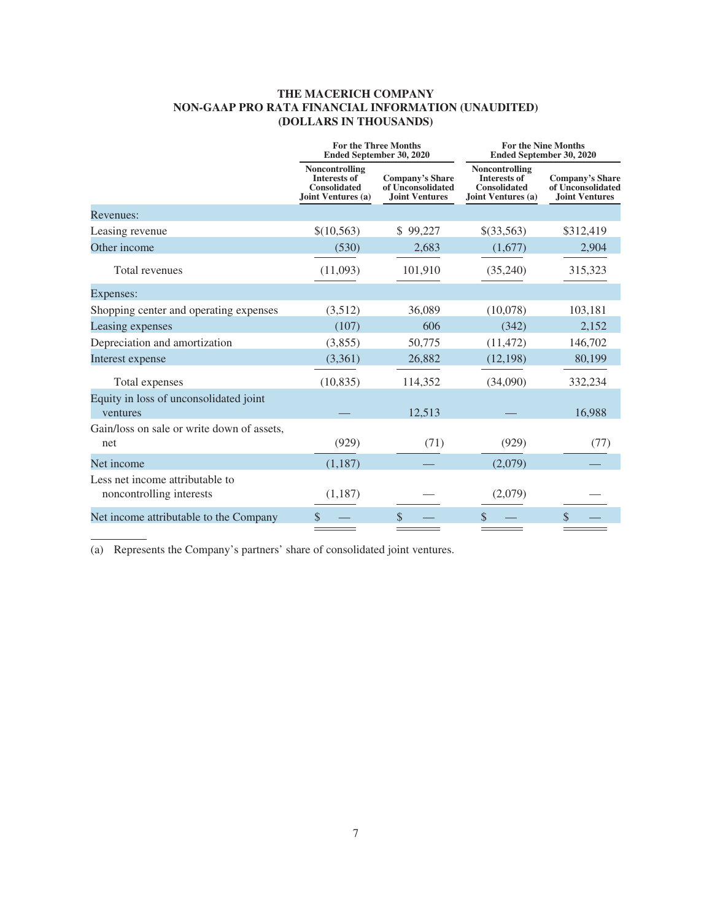# **THE MACERICH COMPANY NON-GAAP PRO RATA FINANCIAL INFORMATION (UNAUDITED) (DOLLARS IN THOUSANDS)**

|                                                             | <b>For the Three Months</b><br>Ended September 30, 2020                            |                                                                      |                                                                                           | <b>For the Nine Months</b><br><b>Ended September 30, 2020</b>        |
|-------------------------------------------------------------|------------------------------------------------------------------------------------|----------------------------------------------------------------------|-------------------------------------------------------------------------------------------|----------------------------------------------------------------------|
|                                                             | <b>Noncontrolling</b><br>Interests of<br><b>Consolidated</b><br>Joint Ventures (a) | <b>Company's Share</b><br>of Unconsolidated<br><b>Joint Ventures</b> | <b>Noncontrolling</b><br><b>Interests of</b><br><b>Consolidated</b><br>Joint Ventures (a) | <b>Company's Share</b><br>of Unconsolidated<br><b>Joint Ventures</b> |
| Revenues:                                                   |                                                                                    |                                                                      |                                                                                           |                                                                      |
| Leasing revenue                                             | \$(10,563)                                                                         | \$99,227                                                             | \$(33,563)                                                                                | \$312,419                                                            |
| Other income                                                | (530)                                                                              | 2,683                                                                | (1,677)                                                                                   | 2,904                                                                |
| Total revenues                                              | (11,093)                                                                           | 101,910                                                              | (35,240)                                                                                  | 315,323                                                              |
| Expenses:                                                   |                                                                                    |                                                                      |                                                                                           |                                                                      |
| Shopping center and operating expenses                      | (3,512)                                                                            | 36,089                                                               | (10,078)                                                                                  | 103,181                                                              |
| Leasing expenses                                            | (107)                                                                              | 606                                                                  | (342)                                                                                     | 2,152                                                                |
| Depreciation and amortization                               | (3,855)                                                                            | 50,775                                                               | (11, 472)                                                                                 | 146,702                                                              |
| Interest expense                                            | (3,361)                                                                            | 26,882                                                               | (12, 198)                                                                                 | 80,199                                                               |
| Total expenses                                              | (10, 835)                                                                          | 114,352                                                              | (34,090)                                                                                  | 332,234                                                              |
| Equity in loss of unconsolidated joint<br>ventures          |                                                                                    | 12,513                                                               |                                                                                           | 16,988                                                               |
| Gain/loss on sale or write down of assets,<br>net           | (929)                                                                              | (71)                                                                 | (929)                                                                                     | (77)                                                                 |
| Net income                                                  | (1,187)                                                                            |                                                                      | (2,079)                                                                                   |                                                                      |
| Less net income attributable to<br>noncontrolling interests | (1,187)                                                                            |                                                                      | (2,079)                                                                                   |                                                                      |
| Net income attributable to the Company                      | \$                                                                                 | $\mathbb{S}$                                                         | \$                                                                                        | \$                                                                   |

(a) Represents the Company's partners' share of consolidated joint ventures.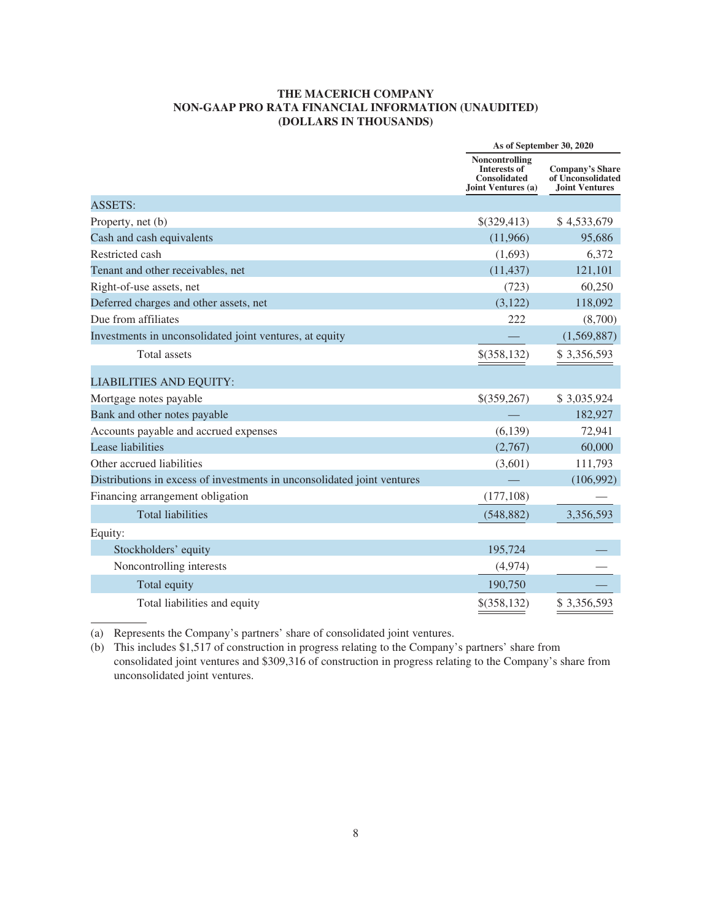#### **THE MACERICH COMPANY NON-GAAP PRO RATA FINANCIAL INFORMATION (UNAUDITED) (DOLLARS IN THOUSANDS)**

|                                                                         | As of September 30, 2020                                                           |                                                                      |
|-------------------------------------------------------------------------|------------------------------------------------------------------------------------|----------------------------------------------------------------------|
|                                                                         | Noncontrolling<br><b>Interests of</b><br><b>Consolidated</b><br>Joint Ventures (a) | <b>Company's Share</b><br>of Unconsolidated<br><b>Joint Ventures</b> |
| <b>ASSETS:</b>                                                          |                                                                                    |                                                                      |
| Property, net (b)                                                       | \$(329,413)                                                                        | \$4,533,679                                                          |
| Cash and cash equivalents                                               | (11,966)                                                                           | 95,686                                                               |
| Restricted cash                                                         | (1,693)                                                                            | 6,372                                                                |
| Tenant and other receivables, net                                       | (11, 437)                                                                          | 121,101                                                              |
| Right-of-use assets, net                                                | (723)                                                                              | 60,250                                                               |
| Deferred charges and other assets, net                                  | (3,122)                                                                            | 118,092                                                              |
| Due from affiliates                                                     | 222                                                                                | (8,700)                                                              |
| Investments in unconsolidated joint ventures, at equity                 |                                                                                    | (1,569,887)                                                          |
| <b>Total</b> assets                                                     | \$(358,132)                                                                        | \$3,356,593                                                          |
| <b>LIABILITIES AND EQUITY:</b>                                          |                                                                                    |                                                                      |
| Mortgage notes payable                                                  | \$(359,267)                                                                        | \$3,035,924                                                          |
| Bank and other notes payable                                            |                                                                                    | 182,927                                                              |
| Accounts payable and accrued expenses                                   | (6,139)                                                                            | 72,941                                                               |
| Lease liabilities                                                       | (2,767)                                                                            | 60,000                                                               |
| Other accrued liabilities                                               | (3,601)                                                                            | 111,793                                                              |
| Distributions in excess of investments in unconsolidated joint ventures |                                                                                    | (106,992)                                                            |
| Financing arrangement obligation                                        | (177, 108)                                                                         |                                                                      |
| <b>Total liabilities</b>                                                | (548, 882)                                                                         | 3,356,593                                                            |
| Equity:                                                                 |                                                                                    |                                                                      |
| Stockholders' equity                                                    | 195,724                                                                            |                                                                      |
| Noncontrolling interests                                                | (4,974)                                                                            |                                                                      |
| Total equity                                                            | 190,750                                                                            |                                                                      |
| Total liabilities and equity                                            | \$(358, 132)                                                                       | \$3,356,593                                                          |

(a) Represents the Company's partners' share of consolidated joint ventures.

(b) This includes \$1,517 of construction in progress relating to the Company's partners' share from consolidated joint ventures and \$309,316 of construction in progress relating to the Company's share from unconsolidated joint ventures.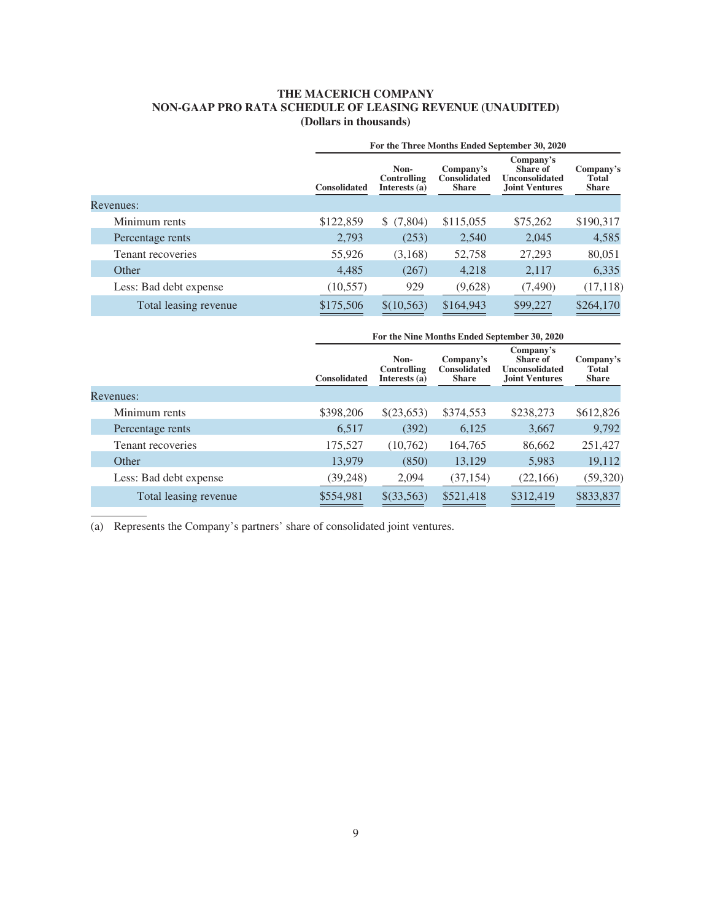# **THE MACERICH COMPANY NON-GAAP PRO RATA SCHEDULE OF LEASING REVENUE (UNAUDITED) (Dollars in thousands)**

|                        |                     | For the Three Months Ended September 30, 2020 |                                                  |                                                                         |                                    |
|------------------------|---------------------|-----------------------------------------------|--------------------------------------------------|-------------------------------------------------------------------------|------------------------------------|
|                        | <b>Consolidated</b> | Non-<br>Controlling<br>Interests (a)          | Company's<br><b>Consolidated</b><br><b>Share</b> | Company's<br>Share of<br><b>Unconsolidated</b><br><b>Joint Ventures</b> | Company's<br>Total<br><b>Share</b> |
| Revenues:              |                     |                                               |                                                  |                                                                         |                                    |
| Minimum rents          | \$122,859           | \$(7,804)                                     | \$115,055                                        | \$75,262                                                                | \$190,317                          |
| Percentage rents       | 2,793               | (253)                                         | 2,540                                            | 2,045                                                                   | 4,585                              |
| Tenant recoveries      | 55,926              | (3,168)                                       | 52,758                                           | 27,293                                                                  | 80,051                             |
| Other                  | 4,485               | (267)                                         | 4.218                                            | 2,117                                                                   | 6,335                              |
| Less: Bad debt expense | (10, 557)           | 929                                           | (9,628)                                          | (7,490)                                                                 | (17, 118)                          |
| Total leasing revenue  | \$175,506           | \$(10,563)                                    | \$164,943                                        | \$99,227                                                                | \$264,170                          |

|                        | For the Nine Months Ended September 30, 2020 |                                      |                                                  |                                                                         |                                           |
|------------------------|----------------------------------------------|--------------------------------------|--------------------------------------------------|-------------------------------------------------------------------------|-------------------------------------------|
|                        | <b>Consolidated</b>                          | Non-<br>Controlling<br>Interests (a) | Company's<br><b>Consolidated</b><br><b>Share</b> | Company's<br>Share of<br><b>Unconsolidated</b><br><b>Joint Ventures</b> | Company's<br><b>Total</b><br><b>Share</b> |
| Revenues:              |                                              |                                      |                                                  |                                                                         |                                           |
| Minimum rents          | \$398,206                                    | \$(23,653)                           | \$374,553                                        | \$238,273                                                               | \$612,826                                 |
| Percentage rents       | 6,517                                        | (392)                                | 6,125                                            | 3,667                                                                   | 9,792                                     |
| Tenant recoveries      | 175,527                                      | (10,762)                             | 164,765                                          | 86,662                                                                  | 251,427                                   |
| Other                  | 13,979                                       | (850)                                | 13,129                                           | 5,983                                                                   | 19,112                                    |
| Less: Bad debt expense | (39, 248)                                    | 2,094                                | (37, 154)                                        | (22,166)                                                                | (59, 320)                                 |
| Total leasing revenue  | \$554,981                                    | \$(33,563)                           | \$521,418                                        | \$312,419                                                               | \$833,837                                 |

(a) Represents the Company's partners' share of consolidated joint ventures.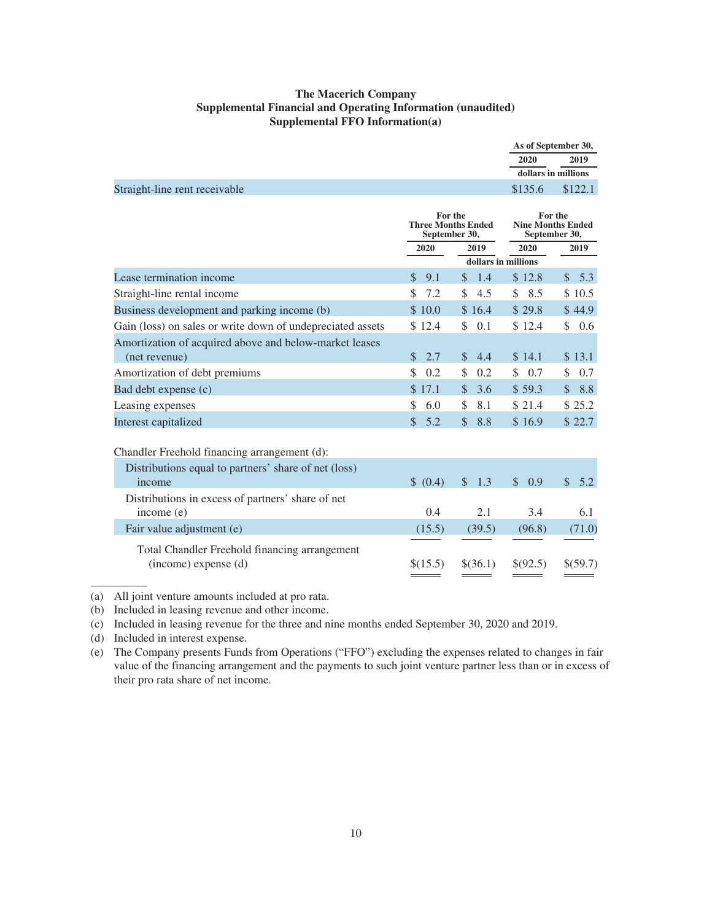# **The Macerich Company Supplemental Financial and Operating Information (unaudited) Supplemental FFO Information(a)**

|                                                                         |                                                       |                      | As of September 30,                                  |                      |
|-------------------------------------------------------------------------|-------------------------------------------------------|----------------------|------------------------------------------------------|----------------------|
|                                                                         |                                                       |                      | 2020                                                 | 2019                 |
|                                                                         |                                                       |                      | dollars in millions                                  |                      |
| Straight-line rent receivable                                           |                                                       |                      | \$135.6                                              | \$122.1              |
|                                                                         | For the<br><b>Three Months Ended</b><br>September 30, |                      | For the<br><b>Nine Months Ended</b><br>September 30, |                      |
|                                                                         | 2020                                                  | 2019                 | 2020                                                 | 2019                 |
|                                                                         |                                                       | dollars in millions  |                                                      |                      |
| Lease termination income                                                | \$<br>9.1                                             | 1.4<br><sup>\$</sup> | \$12.8                                               | 5.3<br>$\mathcal{S}$ |
| Straight-line rental income                                             | 7.2<br>\$                                             | \$<br>4.5            | 8.5<br>\$                                            | \$10.5               |
| Business development and parking income (b)                             | \$10.0                                                | \$16.4               | \$29.8                                               | \$44.9               |
| Gain (loss) on sales or write down of undepreciated assets              | \$12.4                                                | \$<br>0.1            | \$12.4                                               | \$<br>0.6            |
| Amortization of acquired above and below-market leases<br>(net revenue) | 2.7<br>$\mathbb{S}$                                   | $\mathbb{S}$<br>4.4  | \$14.1                                               | \$13.1               |
| Amortization of debt premiums                                           | \$<br>0.2                                             | \$<br>0.2            | 0.7<br>\$                                            | \$<br>0.7            |
| Bad debt expense (c)                                                    | \$17.1                                                | $\mathcal{S}$<br>3.6 | \$59.3                                               | 8.8<br>$\mathcal{S}$ |
| Leasing expenses                                                        | 6.0<br>\$                                             | \$<br>8.1            | \$21.4                                               | \$25.2               |
| Interest capitalized                                                    | \$<br>5.2                                             | $\mathcal{S}$<br>8.8 | \$16.9                                               | \$22.7               |
| Chandler Freehold financing arrangement (d):                            |                                                       |                      |                                                      |                      |
| Distributions equal to partners' share of net (loss)<br>income          | \$ (0.4)                                              | $\mathcal{S}$<br>1.3 | $\mathcal{S}$<br>0.9                                 | $\mathcal{S}$<br>5.2 |
| Distributions in excess of partners' share of net<br>income (e)         | 0.4                                                   | 2.1                  | 3.4                                                  | 6.1                  |
| Fair value adjustment (e)                                               | (15.5)                                                | (39.5)               | (96.8)                                               | (71.0)               |
| Total Chandler Freehold financing arrangement<br>(income) expense (d)   | \$(15.5)                                              | \$(36.1)             | \$(92.5)                                             | \$(59.7)             |

(a) All joint venture amounts included at pro rata.

(b) Included in leasing revenue and other income.

(c) Included in leasing revenue for the three and nine months ended September 30, 2020 and 2019.

(d) Included in interest expense.

(e) The Company presents Funds from Operations ("FFO") excluding the expenses related to changes in fair value of the financing arrangement and the payments to such joint venture partner less than or in excess of their pro rata share of net income.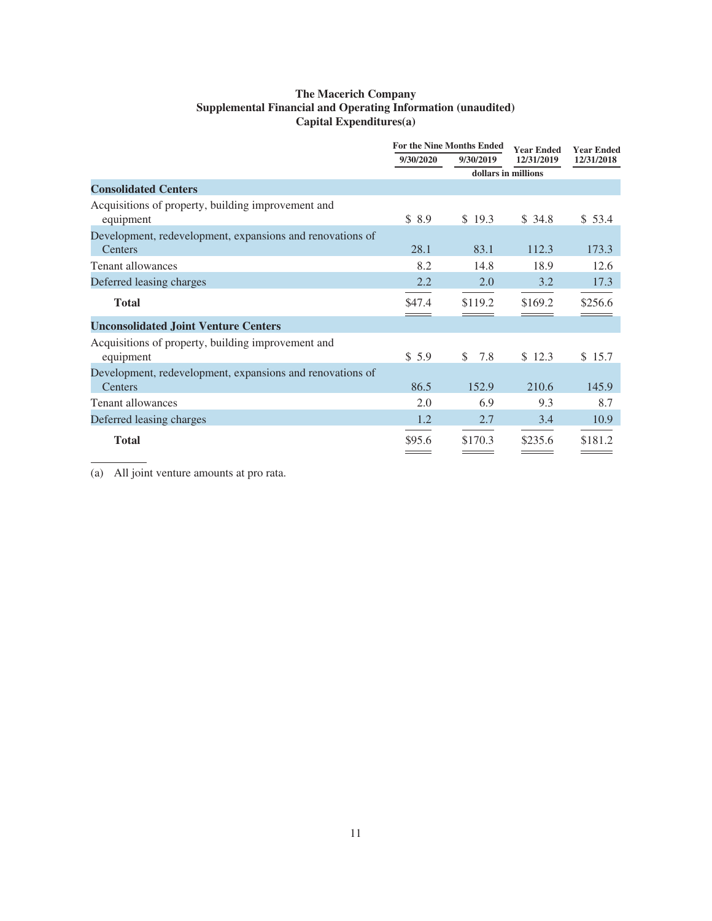# **The Macerich Company Supplemental Financial and Operating Information (unaudited) Capital Expenditures(a)**

|                                                                      | <b>For the Nine Months Ended</b> |           | Year Ended          | <b>Year Ended</b> |
|----------------------------------------------------------------------|----------------------------------|-----------|---------------------|-------------------|
|                                                                      | 9/30/2020                        | 9/30/2019 | 12/31/2019          | 12/31/2018        |
|                                                                      |                                  |           | dollars in millions |                   |
| <b>Consolidated Centers</b>                                          |                                  |           |                     |                   |
| Acquisitions of property, building improvement and<br>equipment      | \$8.9                            | \$19.3    | \$34.8              | \$53.4            |
| Development, redevelopment, expansions and renovations of<br>Centers | 28.1                             | 83.1      | 112.3               | 173.3             |
| <b>Tenant allowances</b>                                             | 8.2                              | 14.8      | 18.9                | 12.6              |
| Deferred leasing charges                                             | 2.2                              | 2.0       | 3.2                 | 17.3              |
| <b>Total</b>                                                         | \$47.4                           | \$119.2   | \$169.2             | \$256.6           |
| <b>Unconsolidated Joint Venture Centers</b>                          |                                  |           |                     |                   |
| Acquisitions of property, building improvement and<br>equipment      | \$5.9                            | 7.8<br>\$ | \$12.3              | \$15.7            |
| Development, redevelopment, expansions and renovations of<br>Centers | 86.5                             | 152.9     | 210.6               | 145.9             |
| <b>Tenant allowances</b>                                             | 2.0                              | 6.9       | 9.3                 | 8.7               |
| Deferred leasing charges                                             | 1.2                              | 2.7       | 3.4                 | 10.9              |
| <b>Total</b>                                                         | \$95.6                           | \$170.3   | \$235.6             | \$181.2           |

(a) All joint venture amounts at pro rata.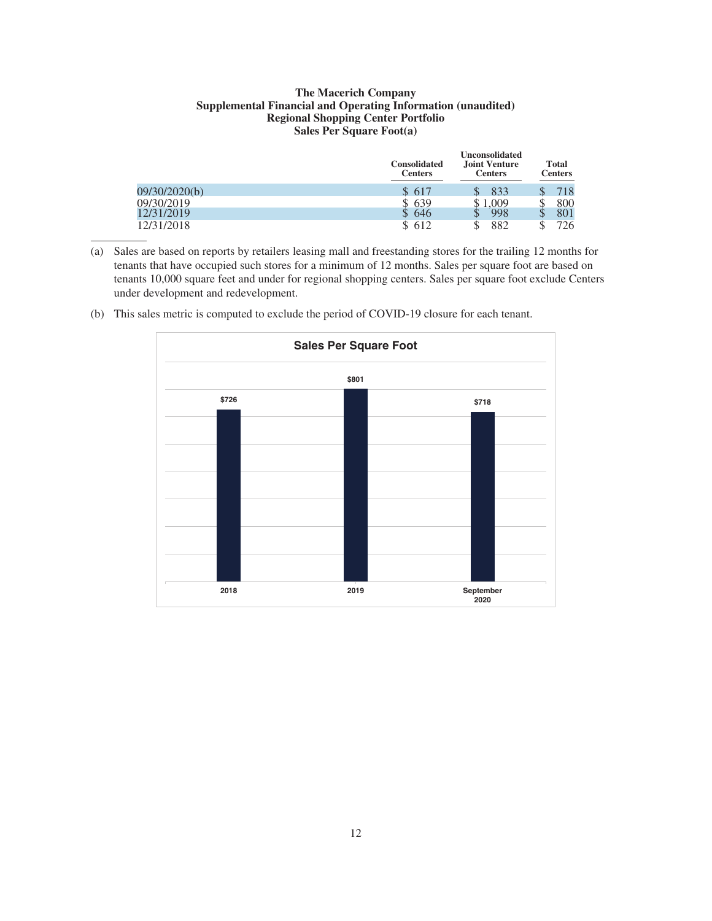#### **The Macerich Company Supplemental Financial and Operating Information (unaudited) Regional Shopping Center Portfolio Sales Per Square Foot(a)**

|               | <b>Consolidated</b><br><b>Centers</b> | <b>Unconsolidated</b><br><b>Joint Venture</b><br><b>Centers</b> | <b>Total</b><br><b>Centers</b> |     |
|---------------|---------------------------------------|-----------------------------------------------------------------|--------------------------------|-----|
| 09/30/2020(b) | \$617                                 | 833                                                             |                                | 718 |
| 09/30/2019    | \$639                                 | ,009                                                            |                                | 800 |
| 12/31/2019    | 646                                   | 998<br>╜                                                        |                                | 801 |
| 12/31/2018    | \$612                                 | 882<br>\$                                                       |                                | 726 |

(a) Sales are based on reports by retailers leasing mall and freestanding stores for the trailing 12 months for tenants that have occupied such stores for a minimum of 12 months. Sales per square foot are based on tenants 10,000 square feet and under for regional shopping centers. Sales per square foot exclude Centers under development and redevelopment.



(b) This sales metric is computed to exclude the period of COVID-19 closure for each tenant.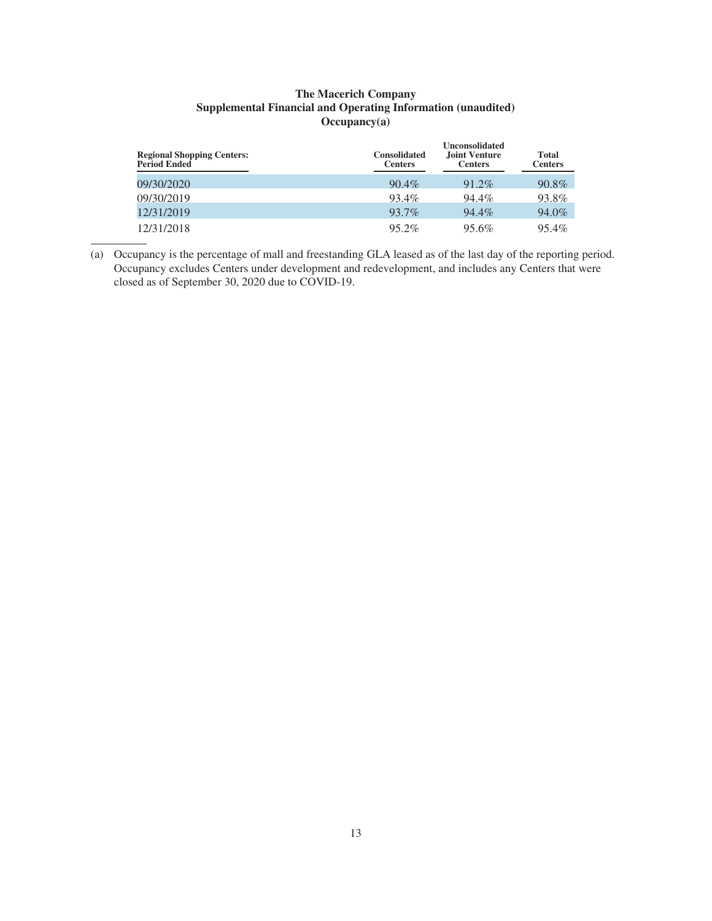# **The Macerich Company Supplemental Financial and Operating Information (unaudited) Occupancy(a)**

| <b>Regional Shopping Centers:</b><br>Period Ended | <b>Consolidated</b><br><b>Centers</b> | <b>Unconsolidated</b><br><b>Joint Venture</b><br><b>Centers</b> | Total<br><b>Centers</b> |
|---------------------------------------------------|---------------------------------------|-----------------------------------------------------------------|-------------------------|
| 09/30/2020                                        | $90.4\%$                              | $91.2\%$                                                        | $90.8\%$                |
| 09/30/2019                                        | 93.4%                                 | 94.4%                                                           | 93.8%                   |
| 12/31/2019                                        | 93.7%                                 | 94.4%                                                           | 94.0%                   |
| 12/31/2018                                        | 95.2%                                 | 95.6%                                                           | $95.4\%$                |

(a) Occupancy is the percentage of mall and freestanding GLA leased as of the last day of the reporting period. Occupancy excludes Centers under development and redevelopment, and includes any Centers that were closed as of September 30, 2020 due to COVID-19.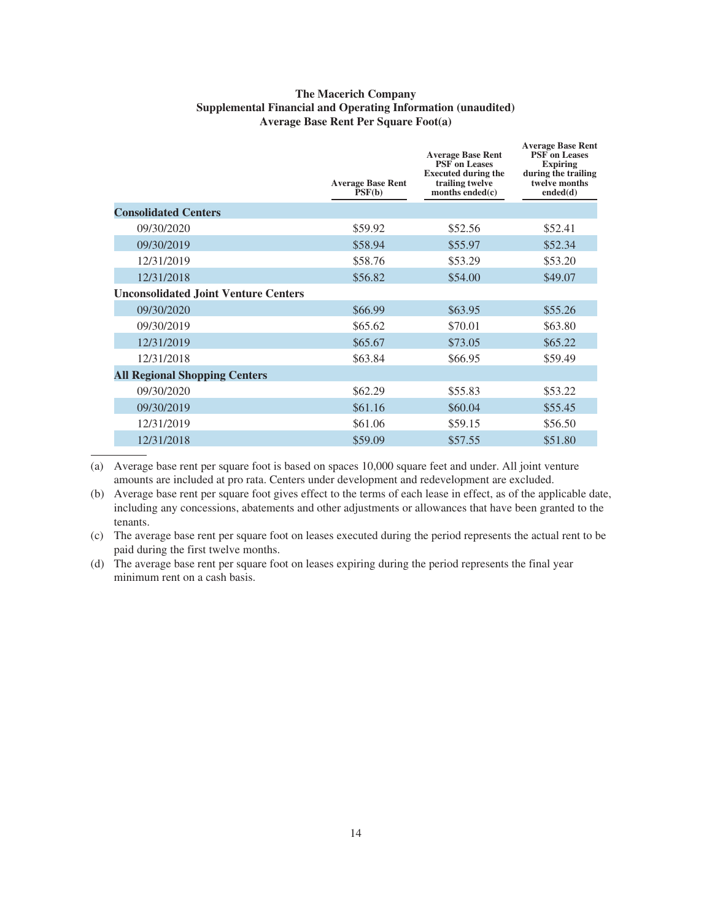# **The Macerich Company Supplemental Financial and Operating Information (unaudited) Average Base Rent Per Square Foot(a)**

| \$52.41 |
|---------|
| \$52.34 |
| \$53.20 |
| \$49.07 |
|         |
| \$55.26 |
| \$63.80 |
| \$65.22 |
| \$59.49 |
|         |
| \$53.22 |
| \$55.45 |
| \$56.50 |
| \$51.80 |
|         |

(a) Average base rent per square foot is based on spaces 10,000 square feet and under. All joint venture amounts are included at pro rata. Centers under development and redevelopment are excluded.

(b) Average base rent per square foot gives effect to the terms of each lease in effect, as of the applicable date, including any concessions, abatements and other adjustments or allowances that have been granted to the tenants.

(c) The average base rent per square foot on leases executed during the period represents the actual rent to be paid during the first twelve months.

(d) The average base rent per square foot on leases expiring during the period represents the final year minimum rent on a cash basis.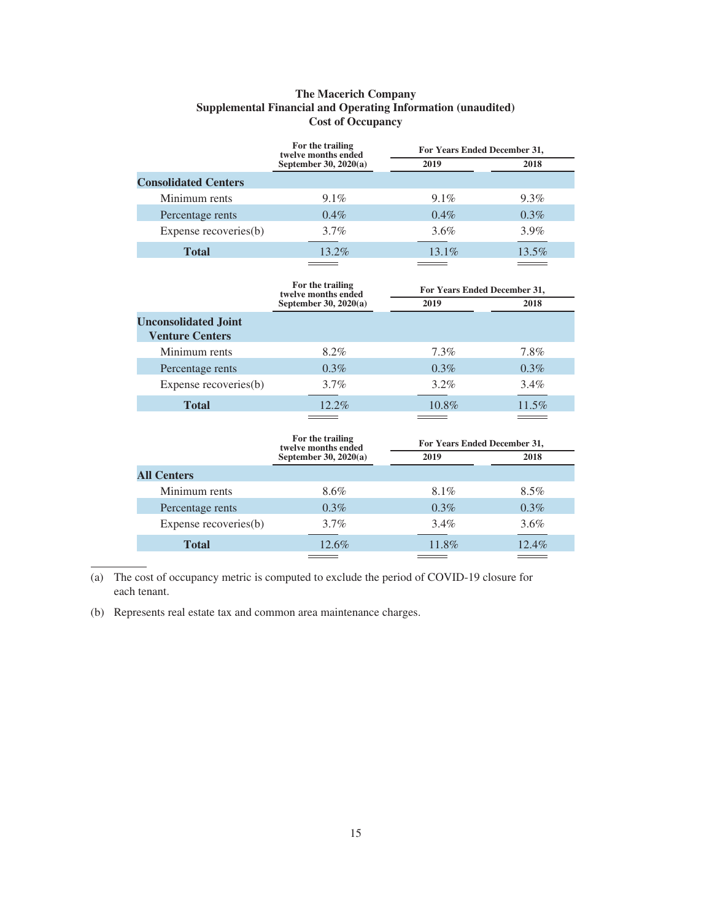# **The Macerich Company Supplemental Financial and Operating Information (unaudited) Cost of Occupancy**

|                             | For the trailing<br>twelve months ended | For Years Ended December 31, |         |
|-----------------------------|-----------------------------------------|------------------------------|---------|
|                             | September 30, $2020(a)$                 | 2019                         | 2018    |
| <b>Consolidated Centers</b> |                                         |                              |         |
| Minimum rents               | $9.1\%$                                 | $9.1\%$                      | $9.3\%$ |
| Percentage rents            | $0.4\%$                                 | $0.4\%$                      | $0.3\%$ |
| Expense recoveries(b)       | $3.7\%$                                 | $3.6\%$                      | $3.9\%$ |
| <b>Total</b>                | 13.2%                                   | $13.1\%$                     | 13.5%   |
|                             |                                         |                              |         |

| For the trailing        | For Years Ended December 31, |         |
|-------------------------|------------------------------|---------|
| September 30, $2020(a)$ | 2019                         | 2018    |
|                         |                              |         |
| 8.2%                    | $7.3\%$                      | 7.8%    |
| $0.3\%$                 | $0.3\%$                      | $0.3\%$ |
| $3.7\%$                 | $3.2\%$                      | $3.4\%$ |
| $12.2\%$                | 10.8%                        | 11.5%   |
|                         | twelve months ended          |         |

| For the trailing        | For Years Ended December 31, |         |
|-------------------------|------------------------------|---------|
| September 30, $2020(a)$ | 2019                         | 2018    |
|                         |                              |         |
| 8.6%                    | 8.1%                         | $8.5\%$ |
| $0.3\%$                 | $0.3\%$                      | $0.3\%$ |
| $3.7\%$                 | $3.4\%$                      | $3.6\%$ |
| $12.6\%$                | 11.8%                        | 12.4%   |
|                         | twelve months ended          |         |

(a) The cost of occupancy metric is computed to exclude the period of COVID-19 closure for each tenant.

(b) Represents real estate tax and common area maintenance charges.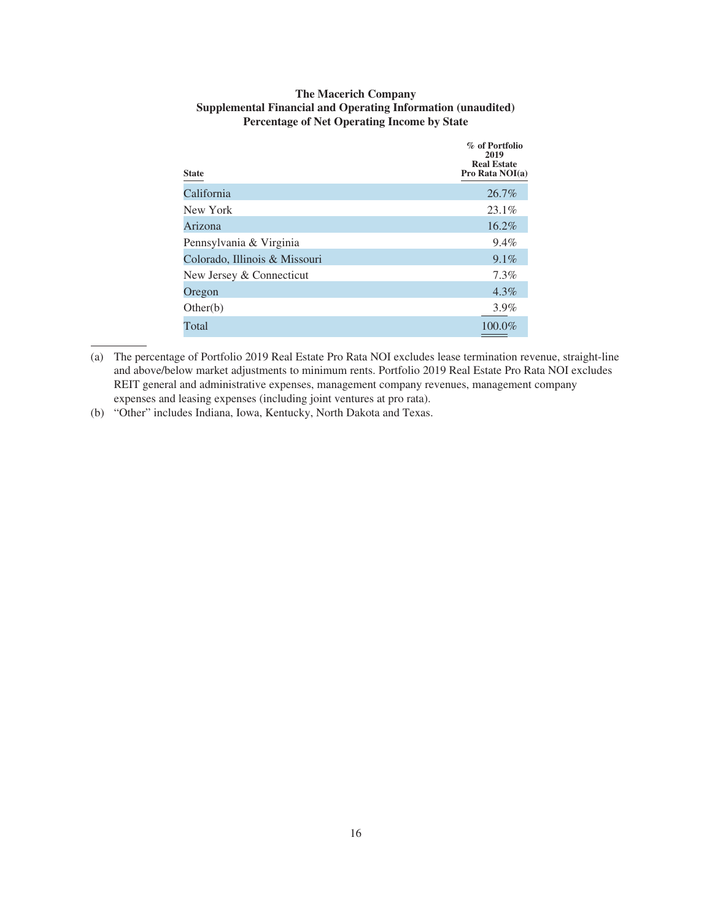| <b>The Macerich Company</b>                                         |
|---------------------------------------------------------------------|
| <b>Supplemental Financial and Operating Information (unaudited)</b> |
| <b>Percentage of Net Operating Income by State</b>                  |

| <b>State</b>                  | % of Portfolio<br>2019<br><b>Real Estate</b><br>Pro Rata NOI(a) |
|-------------------------------|-----------------------------------------------------------------|
| California                    | 26.7%                                                           |
| New York                      | 23.1%                                                           |
| Arizona                       | 16.2%                                                           |
| Pennsylvania & Virginia       | 9.4%                                                            |
| Colorado, Illinois & Missouri | $9.1\%$                                                         |
| New Jersey & Connecticut      | 7.3%                                                            |
| Oregon                        | $4.3\%$                                                         |
| Other(b)                      | $3.9\%$                                                         |
| Total                         | 100.0%                                                          |

<sup>(</sup>a) The percentage of Portfolio 2019 Real Estate Pro Rata NOI excludes lease termination revenue, straight-line and above/below market adjustments to minimum rents. Portfolio 2019 Real Estate Pro Rata NOI excludes REIT general and administrative expenses, management company revenues, management company expenses and leasing expenses (including joint ventures at pro rata).

(b) "Other" includes Indiana, Iowa, Kentucky, North Dakota and Texas.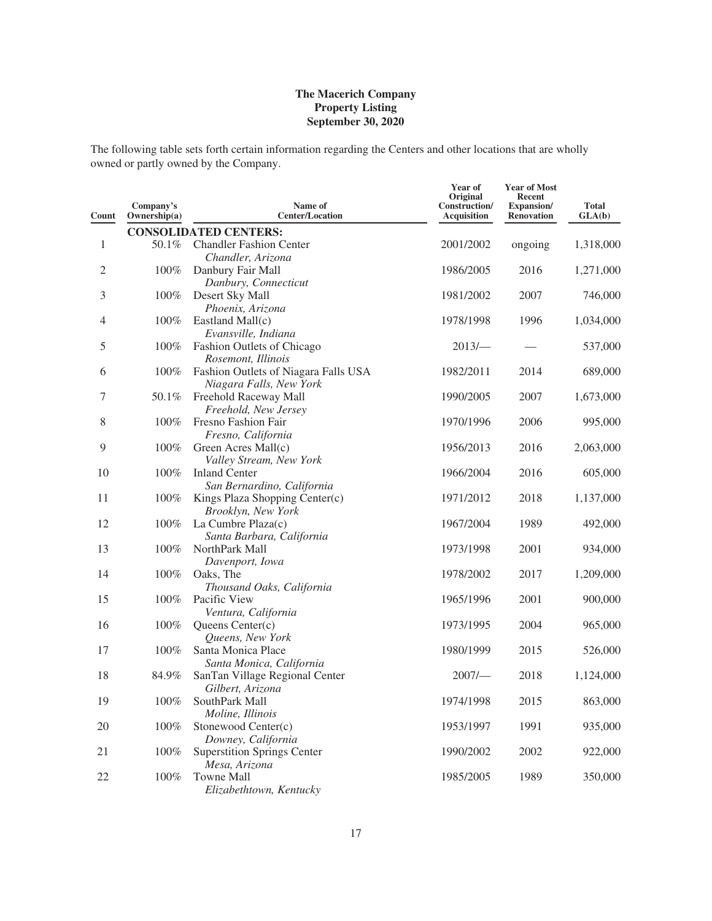The following table sets forth certain information regarding the Centers and other locations that are wholly owned or partly owned by the Company.

| Count          | Company's<br>Ownership(a) | Name of<br><b>Center/Location</b>                               | Year of<br>Original<br>Construction/<br><b>Acquisition</b> | <b>Year of Most</b><br>Recent<br>Expansion/<br><b>Renovation</b> | <b>Total</b><br>GLA(b) |
|----------------|---------------------------|-----------------------------------------------------------------|------------------------------------------------------------|------------------------------------------------------------------|------------------------|
|                |                           | <b>CONSOLIDATED CENTERS:</b>                                    |                                                            |                                                                  |                        |
| $\mathbf{1}$   | 50.1%                     | <b>Chandler Fashion Center</b><br>Chandler, Arizona             | 2001/2002                                                  | ongoing                                                          | 1,318,000              |
| $\overline{2}$ | 100%                      | Danbury Fair Mall<br>Danbury, Connecticut                       | 1986/2005                                                  | 2016                                                             | 1,271,000              |
| 3              | 100%                      | Desert Sky Mall<br>Phoenix, Arizona                             | 1981/2002                                                  | 2007                                                             | 746,000                |
| 4              | 100%                      | Eastland Mall(c)<br>Evansville, Indiana                         | 1978/1998                                                  | 1996                                                             | 1,034,000              |
| 5              | 100%                      | Fashion Outlets of Chicago<br>Rosemont, Illinois                | 2013/                                                      |                                                                  | 537,000                |
| 6              | 100%                      | Fashion Outlets of Niagara Falls USA<br>Niagara Falls, New York | 1982/2011                                                  | 2014                                                             | 689,000                |
| 7              | 50.1%                     | Freehold Raceway Mall<br>Freehold, New Jersey                   | 1990/2005                                                  | 2007                                                             | 1,673,000              |
| 8              | 100%                      | Fresno Fashion Fair<br>Fresno, California                       | 1970/1996                                                  | 2006                                                             | 995,000                |
| 9              | 100%                      | Green Acres Mall(c)<br>Valley Stream, New York                  | 1956/2013                                                  | 2016                                                             | 2,063,000              |
| 10             | 100%                      | <b>Inland Center</b><br>San Bernardino, California              | 1966/2004                                                  | 2016                                                             | 605,000                |
| 11             | 100%                      | Kings Plaza Shopping Center(c)<br>Brooklyn, New York            | 1971/2012                                                  | 2018                                                             | 1,137,000              |
| 12             | 100%                      | La Cumbre Plaza(c)<br>Santa Barbara, California                 | 1967/2004                                                  | 1989                                                             | 492,000                |
| 13             | 100%                      | NorthPark Mall<br>Davenport, Iowa                               | 1973/1998                                                  | 2001                                                             | 934,000                |
| 14             | 100%                      | Oaks, The<br>Thousand Oaks, California                          | 1978/2002                                                  | 2017                                                             | 1,209,000              |
| 15             | 100%                      | Pacific View<br>Ventura, California                             | 1965/1996                                                  | 2001                                                             | 900,000                |
| 16             | 100%                      | Queens Center(c)<br>Queens, New York                            | 1973/1995                                                  | 2004                                                             | 965,000                |
| 17             | 100%                      | Santa Monica Place<br>Santa Monica, California                  | 1980/1999                                                  | 2015                                                             | 526,000                |
| 18             | 84.9%                     | SanTan Village Regional Center<br>Gilbert, Arizona              | 2007/                                                      | 2018                                                             | 1,124,000              |
| 19             | 100%                      | SouthPark Mall<br>Moline, Illinois                              | 1974/1998                                                  | 2015                                                             | 863,000                |
| 20             | 100%                      | Stonewood Center(c)<br>Downey, California                       | 1953/1997                                                  | 1991                                                             | 935,000                |
| 21             | 100%                      | <b>Superstition Springs Center</b><br>Mesa, Arizona             | 1990/2002                                                  | 2002                                                             | 922,000                |
| 22             | 100%                      | Towne Mall<br>Elizabethtown, Kentucky                           | 1985/2005                                                  | 1989                                                             | 350,000                |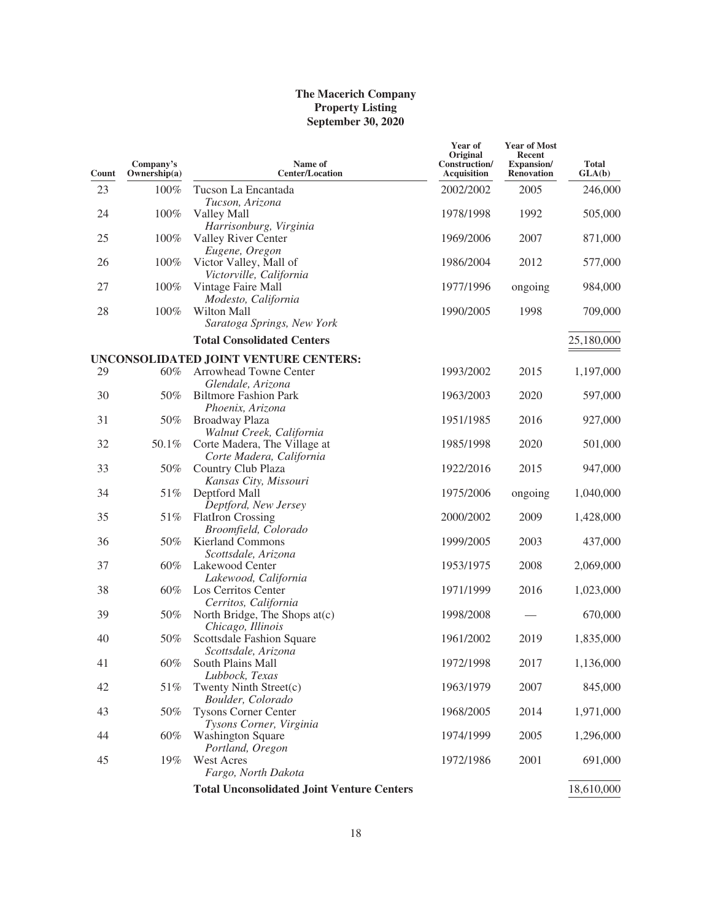| Count    | Company's<br>Ownership(a) | Name of<br><b>Center/Location</b>                                 | Year of<br>Original<br>Construction/<br>Acquisition | <b>Year of Most</b><br>Recent<br>Expansion/<br><b>Renovation</b> | <b>Total</b><br>GLA(b) |
|----------|---------------------------|-------------------------------------------------------------------|-----------------------------------------------------|------------------------------------------------------------------|------------------------|
| 23       | 100%                      | Tucson La Encantada<br>Tucson, Arizona                            | 2002/2002                                           | 2005                                                             | 246,000                |
| 24       | 100%                      | Valley Mall<br>Harrisonburg, Virginia                             | 1978/1998                                           | 1992                                                             | 505,000                |
| 25       | 100%                      | Valley River Center<br>Eugene, Oregon                             | 1969/2006                                           | 2007                                                             | 871,000                |
| 26       | 100%                      | Victor Valley, Mall of<br>Victorville, California                 | 1986/2004                                           | 2012                                                             | 577,000                |
| 27       | 100%                      | Vintage Faire Mall<br>Modesto, California                         | 1977/1996                                           | ongoing                                                          | 984,000                |
| 28       | 100%                      | Wilton Mall<br>Saratoga Springs, New York                         | 1990/2005                                           | 1998                                                             | 709,000                |
|          |                           | <b>Total Consolidated Centers</b>                                 |                                                     |                                                                  | 25,180,000             |
|          |                           | UNCONSOLIDATED JOINT VENTURE CENTERS:                             |                                                     |                                                                  |                        |
| 29       | 60%                       | Arrowhead Towne Center<br>Glendale, Arizona                       | 1993/2002                                           | 2015                                                             | 1,197,000              |
| 30       | 50%                       | <b>Biltmore Fashion Park</b><br>Phoenix, Arizona                  | 1963/2003                                           | 2020                                                             | 597,000                |
| 31       | 50%                       | Broadway Plaza<br>Walnut Creek, California                        | 1951/1985                                           | 2016                                                             | 927,000                |
| 32       | 50.1%                     | Corte Madera, The Village at<br>Corte Madera, California          | 1985/1998                                           | 2020                                                             | 501,000                |
| 33       | 50%                       | Country Club Plaza<br>Kansas City, Missouri                       | 1922/2016                                           | 2015                                                             | 947,000                |
| 34       | 51%                       | Deptford Mall<br>Deptford, New Jersey                             | 1975/2006                                           | ongoing                                                          | 1,040,000              |
| 35       | $51\%$                    | <b>FlatIron Crossing</b><br>Broomfield, Colorado                  | 2000/2002                                           | 2009                                                             | 1,428,000              |
| 36<br>37 | 50%<br>60%                | <b>Kierland Commons</b><br>Scottsdale, Arizona<br>Lakewood Center | 1999/2005<br>1953/1975                              | 2003<br>2008                                                     | 437,000<br>2,069,000   |
|          |                           | Lakewood, California                                              |                                                     |                                                                  |                        |
| 38       | 60%                       | Los Cerritos Center<br>Cerritos, California                       | 1971/1999                                           | 2016                                                             | 1,023,000              |
| 39       | 50%                       | North Bridge, The Shops at(c)<br>Chicago, Illinois                | 1998/2008                                           |                                                                  | 670,000                |
| 40       | 50%                       | Scottsdale Fashion Square<br>Scottsdale, Arizona                  | 1961/2002                                           | 2019                                                             | 1,835,000              |
| 41       | 60%                       | South Plains Mall<br>Lubbock, Texas                               | 1972/1998                                           | 2017                                                             | 1,136,000              |
| 42       | 51%                       | Twenty Ninth Street(c)<br>Boulder, Colorado                       | 1963/1979                                           | 2007                                                             | 845,000                |
| 43       | 50%                       | <b>Tysons Corner Center</b><br>Tysons Corner, Virginia            | 1968/2005                                           | 2014                                                             | 1,971,000              |
| 44       | 60%                       | <b>Washington Square</b><br>Portland, Oregon                      | 1974/1999                                           | 2005                                                             | 1,296,000              |
| 45       | 19%                       | <b>West Acres</b><br>Fargo, North Dakota                          | 1972/1986                                           | 2001                                                             | 691,000                |
|          |                           | <b>Total Unconsolidated Joint Venture Centers</b>                 |                                                     |                                                                  | 18,610,000             |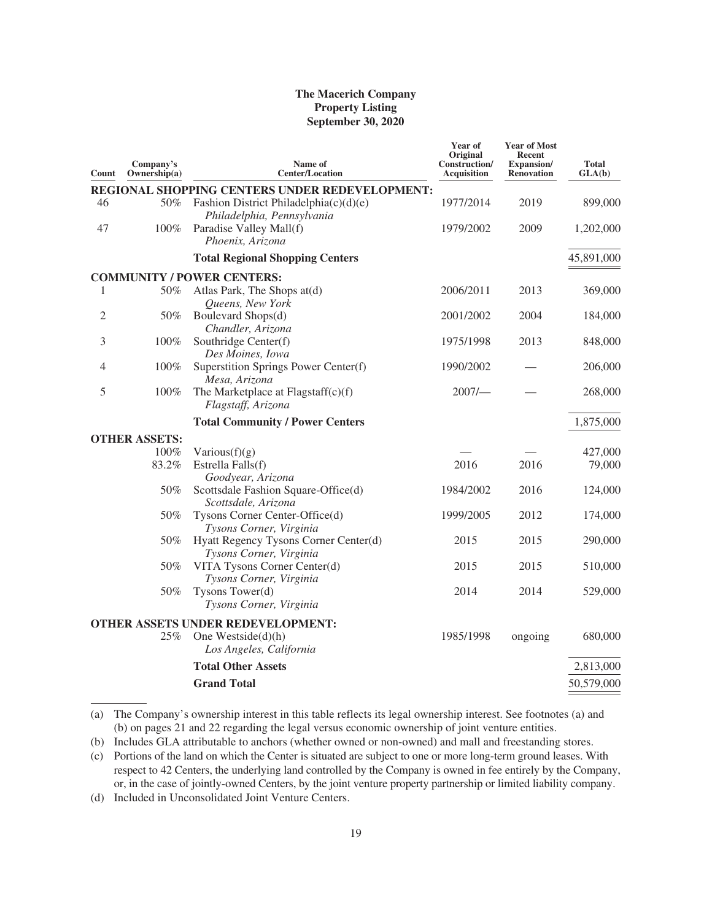| Count | Company's<br>Ownership(a) | Name of<br><b>Center/Location</b>                                    | Year of<br>Original<br>Construction/<br><b>Acquisition</b> | <b>Year of Most</b><br>Recent<br><b>Expansion</b> /<br><b>Renovation</b> | <b>Total</b><br>GLA(b) |
|-------|---------------------------|----------------------------------------------------------------------|------------------------------------------------------------|--------------------------------------------------------------------------|------------------------|
|       |                           | REGIONAL SHOPPING CENTERS UNDER REDEVELOPMENT:                       |                                                            |                                                                          |                        |
| 46    | 50%                       | Fashion District Philadelphia(c)(d)(e)<br>Philadelphia, Pennsylvania | 1977/2014                                                  | 2019                                                                     | 899,000                |
| 47    | 100%                      | Paradise Valley Mall(f)<br>Phoenix, Arizona                          | 1979/2002                                                  | 2009                                                                     | 1,202,000              |
|       |                           | <b>Total Regional Shopping Centers</b>                               |                                                            |                                                                          | 45,891,000             |
|       |                           | <b>COMMUNITY / POWER CENTERS:</b>                                    |                                                            |                                                                          |                        |
| 1     | 50%                       | Atlas Park, The Shops at(d)<br>Queens, New York                      | 2006/2011                                                  | 2013                                                                     | 369,000                |
| 2     | 50%                       | Boulevard Shops(d)<br>Chandler, Arizona                              | 2001/2002                                                  | 2004                                                                     | 184,000                |
| 3     | 100%                      | Southridge Center(f)<br>Des Moines, Iowa                             | 1975/1998                                                  | 2013                                                                     | 848,000                |
| 4     | 100%                      | Superstition Springs Power Center(f)<br>Mesa, Arizona                | 1990/2002                                                  |                                                                          | 206,000                |
| 5     | 100%                      | The Marketplace at Flagstaff(c)(f)<br>Flagstaff, Arizona             | 2007/                                                      |                                                                          | 268,000                |
|       |                           | <b>Total Community / Power Centers</b>                               |                                                            |                                                                          | 1,875,000              |
|       | <b>OTHER ASSETS:</b>      |                                                                      |                                                            |                                                                          |                        |
|       | 100%                      | Various $(f)(g)$                                                     |                                                            |                                                                          | 427,000                |
|       | 83.2%                     | Estrella Falls(f)<br>Goodyear, Arizona                               | 2016                                                       | 2016                                                                     | 79,000                 |
|       | 50%                       | Scottsdale Fashion Square-Office(d)<br>Scottsdale, Arizona           | 1984/2002                                                  | 2016                                                                     | 124,000                |
|       | 50%                       | Tysons Corner Center-Office(d)<br>Tysons Corner, Virginia            | 1999/2005                                                  | 2012                                                                     | 174,000                |
|       | 50%                       | Hyatt Regency Tysons Corner Center(d)<br>Tysons Corner, Virginia     | 2015                                                       | 2015                                                                     | 290,000                |
|       | 50%                       | VITA Tysons Corner Center(d)<br>Tysons Corner, Virginia              | 2015                                                       | 2015                                                                     | 510,000                |
|       | 50%                       | Tysons Tower(d)<br>Tysons Corner, Virginia                           | 2014                                                       | 2014                                                                     | 529,000                |
|       |                           | OTHER ASSETS UNDER REDEVELOPMENT:                                    |                                                            |                                                                          |                        |
|       | 25%                       | One Westside $(d)(h)$<br>Los Angeles, California                     | 1985/1998                                                  | ongoing                                                                  | 680,000                |
|       |                           | <b>Total Other Assets</b>                                            |                                                            |                                                                          | 2,813,000              |
|       |                           | <b>Grand Total</b>                                                   |                                                            |                                                                          | 50,579,000             |

(a) The Company's ownership interest in this table reflects its legal ownership interest. See footnotes (a) and (b) on pages 21 and 22 regarding the legal versus economic ownership of joint venture entities.

(d) Included in Unconsolidated Joint Venture Centers.

<sup>(</sup>b) Includes GLA attributable to anchors (whether owned or non-owned) and mall and freestanding stores.

<sup>(</sup>c) Portions of the land on which the Center is situated are subject to one or more long-term ground leases. With respect to 42 Centers, the underlying land controlled by the Company is owned in fee entirely by the Company, or, in the case of jointly-owned Centers, by the joint venture property partnership or limited liability company.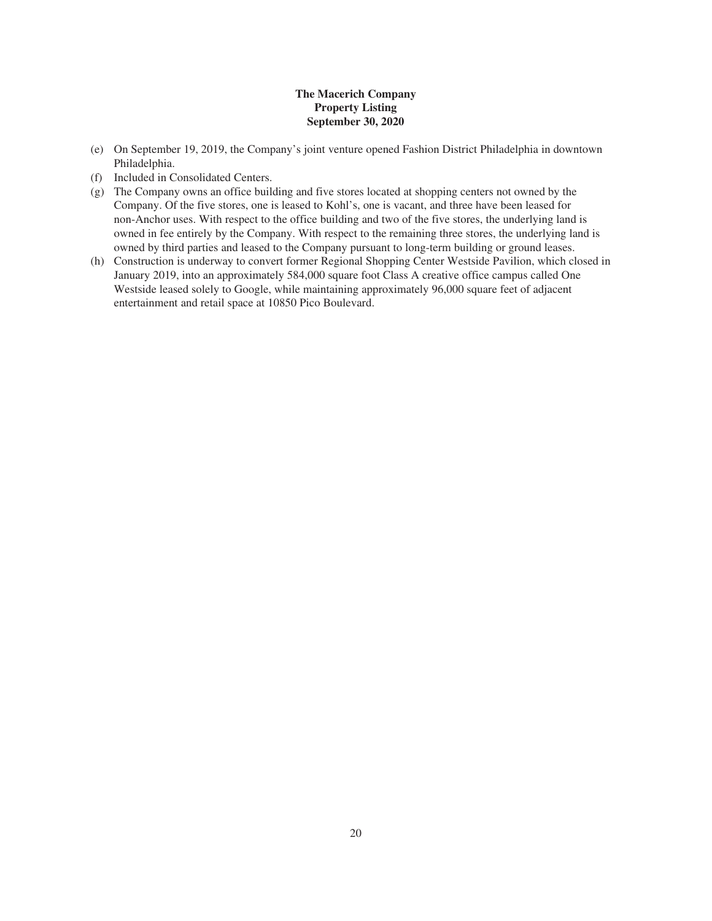- (e) On September 19, 2019, the Company's joint venture opened Fashion District Philadelphia in downtown Philadelphia.
- (f) Included in Consolidated Centers.
- (g) The Company owns an office building and five stores located at shopping centers not owned by the Company. Of the five stores, one is leased to Kohl's, one is vacant, and three have been leased for non-Anchor uses. With respect to the office building and two of the five stores, the underlying land is owned in fee entirely by the Company. With respect to the remaining three stores, the underlying land is owned by third parties and leased to the Company pursuant to long-term building or ground leases.
- (h) Construction is underway to convert former Regional Shopping Center Westside Pavilion, which closed in January 2019, into an approximately 584,000 square foot Class A creative office campus called One Westside leased solely to Google, while maintaining approximately 96,000 square feet of adjacent entertainment and retail space at 10850 Pico Boulevard.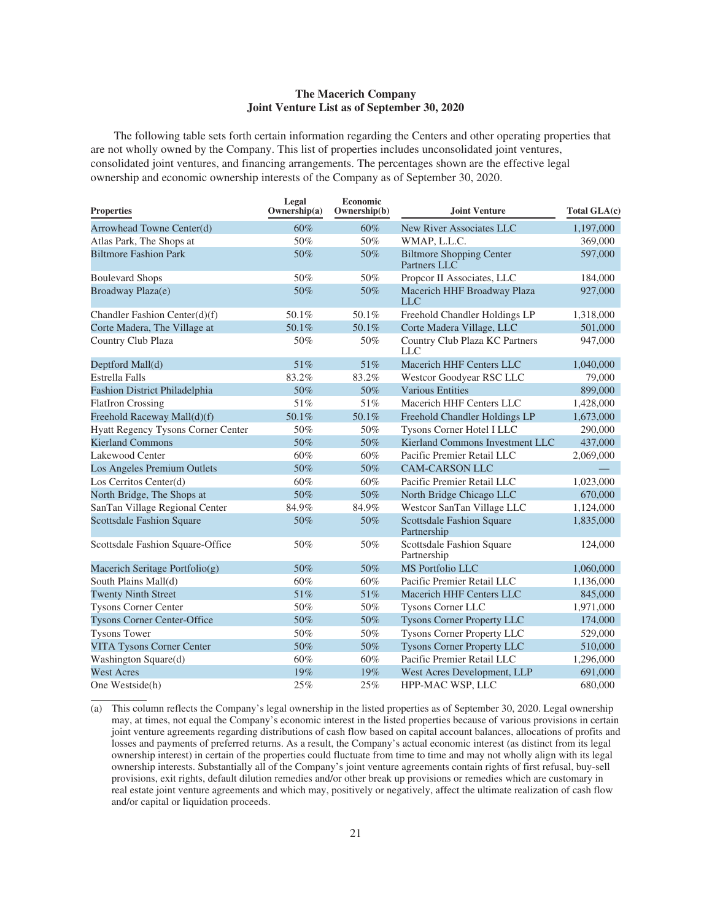#### **The Macerich Company Joint Venture List as of September 30, 2020**

The following table sets forth certain information regarding the Centers and other operating properties that are not wholly owned by the Company. This list of properties includes unconsolidated joint ventures, consolidated joint ventures, and financing arrangements. The percentages shown are the effective legal ownership and economic ownership interests of the Company as of September 30, 2020.

| <b>Properties</b>                    | Legal<br>Ownership(a) | Economic<br>Ownership(b) | Joint Venture                                   | Total GLA(c) |
|--------------------------------------|-----------------------|--------------------------|-------------------------------------------------|--------------|
| Arrowhead Towne Center(d)            | 60%                   | 60%                      | New River Associates LLC                        | 1,197,000    |
| Atlas Park, The Shops at             | 50%                   | 50%                      | WMAP, L.L.C.                                    | 369,000      |
| <b>Biltmore Fashion Park</b>         | 50%                   | 50%                      | <b>Biltmore Shopping Center</b><br>Partners LLC | 597,000      |
| <b>Boulevard Shops</b>               | 50%                   | 50%                      | Propcor II Associates, LLC                      | 184,000      |
| Broadway Plaza(e)                    | 50%                   | 50%                      | Macerich HHF Broadway Plaza<br><b>LLC</b>       | 927,000      |
| Chandler Fashion Center(d)(f)        | 50.1%                 | 50.1%                    | Freehold Chandler Holdings LP                   | 1,318,000    |
| Corte Madera, The Village at         | 50.1%                 | 50.1%                    | Corte Madera Village, LLC                       | 501,000      |
| Country Club Plaza                   | 50%                   | 50%                      | Country Club Plaza KC Partners<br>LLC           | 947,000      |
| Deptford Mall(d)                     | 51%                   | 51%                      | Macerich HHF Centers LLC                        | 1,040,000    |
| <b>Estrella Falls</b>                | 83.2%                 | 83.2%                    | Westcor Goodyear RSC LLC                        | 79,000       |
| <b>Fashion District Philadelphia</b> | 50%                   | 50%                      | <b>Various Entities</b>                         | 899,000      |
| <b>FlatIron Crossing</b>             | 51%                   | 51%                      | Macerich HHF Centers LLC                        | 1,428,000    |
| Freehold Raceway Mall(d)(f)          | 50.1%                 | 50.1%                    | Freehold Chandler Holdings LP                   | 1,673,000    |
| Hyatt Regency Tysons Corner Center   | 50%                   | 50%                      | Tysons Corner Hotel I LLC                       | 290,000      |
| <b>Kierland Commons</b>              | 50%                   | 50%                      | Kierland Commons Investment LLC                 | 437,000      |
| Lakewood Center                      | 60%                   | 60%                      | Pacific Premier Retail LLC                      | 2,069,000    |
| Los Angeles Premium Outlets          | 50%                   | 50%                      | <b>CAM-CARSON LLC</b>                           |              |
| Los Cerritos Center(d)               | 60%                   | 60%                      | Pacific Premier Retail LLC                      | 1,023,000    |
| North Bridge, The Shops at           | 50%                   | 50%                      | North Bridge Chicago LLC                        | 670,000      |
| SanTan Village Regional Center       | 84.9%                 | 84.9%                    | Westcor SanTan Village LLC                      | 1,124,000    |
| <b>Scottsdale Fashion Square</b>     | 50%                   | 50%                      | <b>Scottsdale Fashion Square</b><br>Partnership | 1,835,000    |
| Scottsdale Fashion Square-Office     | 50%                   | 50%                      | Scottsdale Fashion Square<br>Partnership        | 124,000      |
| Macerich Seritage Portfolio(g)       | 50%                   | 50%                      | MS Portfolio LLC                                | 1,060,000    |
| South Plains Mall(d)                 | 60%                   | 60%                      | Pacific Premier Retail LLC                      | 1,136,000    |
| <b>Twenty Ninth Street</b>           | 51%                   | 51%                      | Macerich HHF Centers LLC                        | 845,000      |
| <b>Tysons Corner Center</b>          | 50%                   | 50%                      | Tysons Corner LLC                               | 1,971,000    |
| <b>Tysons Corner Center-Office</b>   | 50%                   | 50%                      | <b>Tysons Corner Property LLC</b>               | 174,000      |
| <b>Tysons Tower</b>                  | 50%                   | 50%                      | Tysons Corner Property LLC                      | 529,000      |
| <b>VITA Tysons Corner Center</b>     | 50%                   | 50%                      | <b>Tysons Corner Property LLC</b>               | 510,000      |
| Washington Square(d)                 | 60%                   | 60%                      | Pacific Premier Retail LLC                      | 1,296,000    |
| <b>West Acres</b>                    | 19%                   | 19%                      | West Acres Development, LLP                     | 691,000      |
| One Westside(h)                      | 25%                   | 25%                      | HPP-MAC WSP, LLC                                | 680,000      |

(a) This column reflects the Company's legal ownership in the listed properties as of September 30, 2020. Legal ownership may, at times, not equal the Company's economic interest in the listed properties because of various provisions in certain joint venture agreements regarding distributions of cash flow based on capital account balances, allocations of profits and losses and payments of preferred returns. As a result, the Company's actual economic interest (as distinct from its legal ownership interest) in certain of the properties could fluctuate from time to time and may not wholly align with its legal ownership interests. Substantially all of the Company's joint venture agreements contain rights of first refusal, buy-sell provisions, exit rights, default dilution remedies and/or other break up provisions or remedies which are customary in real estate joint venture agreements and which may, positively or negatively, affect the ultimate realization of cash flow and/or capital or liquidation proceeds.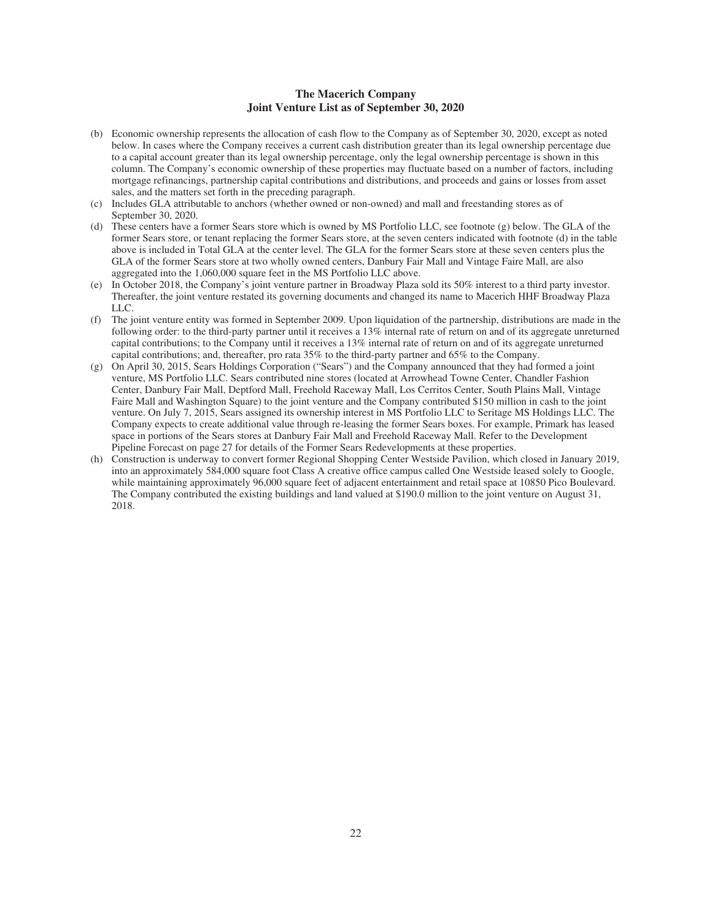#### **The Macerich Company Joint Venture List as of September 30, 2020**

- (b) Economic ownership represents the allocation of cash flow to the Company as of September 30, 2020, except as noted below. In cases where the Company receives a current cash distribution greater than its legal ownership percentage due to a capital account greater than its legal ownership percentage, only the legal ownership percentage is shown in this column. The Company's economic ownership of these properties may fluctuate based on a number of factors, including mortgage refinancings, partnership capital contributions and distributions, and proceeds and gains or losses from asset sales, and the matters set forth in the preceding paragraph.
- (c) Includes GLA attributable to anchors (whether owned or non-owned) and mall and freestanding stores as of September 30, 2020.
- (d) These centers have a former Sears store which is owned by MS Portfolio LLC, see footnote (g) below. The GLA of the former Sears store, or tenant replacing the former Sears store, at the seven centers indicated with footnote (d) in the table above is included in Total GLA at the center level. The GLA for the former Sears store at these seven centers plus the GLA of the former Sears store at two wholly owned centers, Danbury Fair Mall and Vintage Faire Mall, are also aggregated into the 1,060,000 square feet in the MS Portfolio LLC above.
- (e) In October 2018, the Company's joint venture partner in Broadway Plaza sold its 50% interest to a third party investor. Thereafter, the joint venture restated its governing documents and changed its name to Macerich HHF Broadway Plaza LLC.
- (f) The joint venture entity was formed in September 2009. Upon liquidation of the partnership, distributions are made in the following order: to the third-party partner until it receives a 13% internal rate of return on and of its aggregate unreturned capital contributions; to the Company until it receives a 13% internal rate of return on and of its aggregate unreturned capital contributions; and, thereafter, pro rata 35% to the third-party partner and 65% to the Company.
- (g) On April 30, 2015, Sears Holdings Corporation ("Sears") and the Company announced that they had formed a joint venture, MS Portfolio LLC. Sears contributed nine stores (located at Arrowhead Towne Center, Chandler Fashion Center, Danbury Fair Mall, Deptford Mall, Freehold Raceway Mall, Los Cerritos Center, South Plains Mall, Vintage Faire Mall and Washington Square) to the joint venture and the Company contributed \$150 million in cash to the joint venture. On July 7, 2015, Sears assigned its ownership interest in MS Portfolio LLC to Seritage MS Holdings LLC. The Company expects to create additional value through re-leasing the former Sears boxes. For example, Primark has leased space in portions of the Sears stores at Danbury Fair Mall and Freehold Raceway Mall. Refer to the Development Pipeline Forecast on page 27 for details of the Former Sears Redevelopments at these properties.
- (h) Construction is underway to convert former Regional Shopping Center Westside Pavilion, which closed in January 2019, into an approximately 584,000 square foot Class A creative office campus called One Westside leased solely to Google, while maintaining approximately 96,000 square feet of adjacent entertainment and retail space at 10850 Pico Boulevard. The Company contributed the existing buildings and land valued at \$190.0 million to the joint venture on August 31, 2018.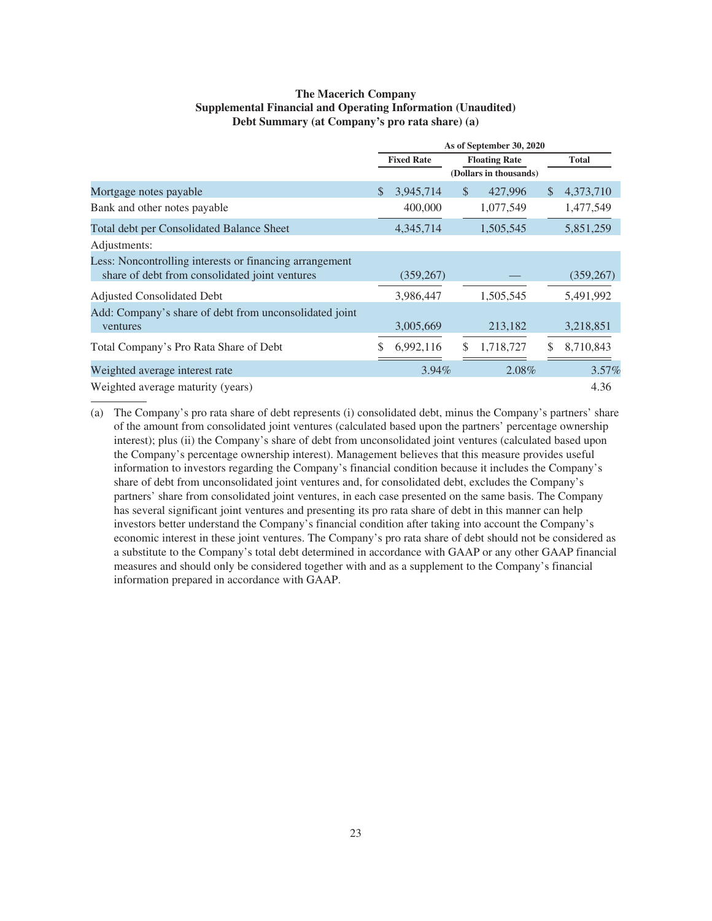#### **The Macerich Company Supplemental Financial and Operating Information (Unaudited) Debt Summary (at Company's pro rata share) (a)**

|                                                         | As of September 30, 2020 |            |                      |                        |              |              |
|---------------------------------------------------------|--------------------------|------------|----------------------|------------------------|--------------|--------------|
|                                                         | <b>Fixed Rate</b>        |            | <b>Floating Rate</b> |                        |              | <b>Total</b> |
|                                                         |                          |            |                      | (Dollars in thousands) |              |              |
| Mortgage notes payable                                  | \$                       | 3,945,714  | <sup>\$</sup>        | 427,996                | <sup>S</sup> | 4,373,710    |
| Bank and other notes payable                            |                          | 400,000    |                      | 1,077,549              |              | 1,477,549    |
| Total debt per Consolidated Balance Sheet               |                          | 4,345,714  |                      | 1,505,545              |              | 5,851,259    |
| Adjustments:                                            |                          |            |                      |                        |              |              |
| Less: Noncontrolling interests or financing arrangement |                          |            |                      |                        |              |              |
| share of debt from consolidated joint ventures          |                          | (359, 267) |                      |                        |              | (359, 267)   |
| <b>Adjusted Consolidated Debt</b>                       |                          | 3,986,447  |                      | 1,505,545              |              | 5,491,992    |
| Add: Company's share of debt from unconsolidated joint  |                          |            |                      |                        |              |              |
| ventures                                                |                          | 3,005,669  |                      | 213,182                |              | 3,218,851    |
| Total Company's Pro Rata Share of Debt                  |                          | 6,992,116  | S                    | 1,718,727              |              | 8,710,843    |
| Weighted average interest rate                          |                          | $3.94\%$   |                      | 2.08%                  |              | $3.57\%$     |
| Weighted average maturity (years)                       |                          |            |                      |                        |              | 4.36         |

(a) The Company's pro rata share of debt represents (i) consolidated debt, minus the Company's partners' share of the amount from consolidated joint ventures (calculated based upon the partners' percentage ownership interest); plus (ii) the Company's share of debt from unconsolidated joint ventures (calculated based upon the Company's percentage ownership interest). Management believes that this measure provides useful information to investors regarding the Company's financial condition because it includes the Company's share of debt from unconsolidated joint ventures and, for consolidated debt, excludes the Company's partners' share from consolidated joint ventures, in each case presented on the same basis. The Company has several significant joint ventures and presenting its pro rata share of debt in this manner can help investors better understand the Company's financial condition after taking into account the Company's economic interest in these joint ventures. The Company's pro rata share of debt should not be considered as a substitute to the Company's total debt determined in accordance with GAAP or any other GAAP financial measures and should only be considered together with and as a supplement to the Company's financial information prepared in accordance with GAAP.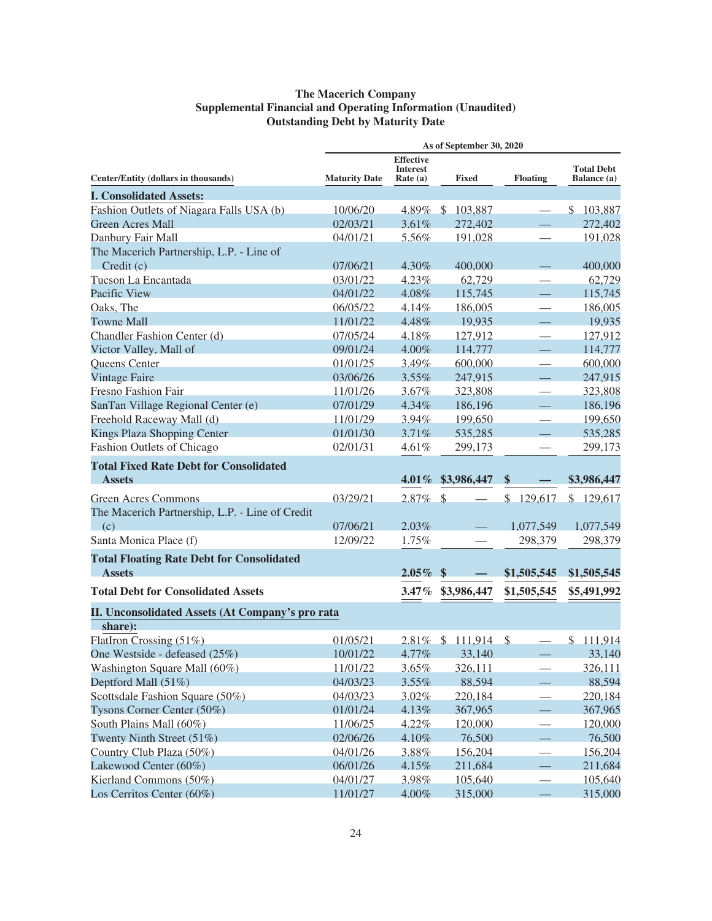# **The Macerich Company Supplemental Financial and Operating Information (Unaudited) Outstanding Debt by Maturity Date**

|                                                        |                      |                                                   | As of September 30, 2020 |                          |                                  |
|--------------------------------------------------------|----------------------|---------------------------------------------------|--------------------------|--------------------------|----------------------------------|
| Center/Entity (dollars in thousands)                   | <b>Maturity Date</b> | <b>Effective</b><br><b>Interest</b><br>Rate $(a)$ | <b>Fixed</b>             | <b>Floating</b>          | <b>Total Debt</b><br>Balance (a) |
| <b>I. Consolidated Assets:</b>                         |                      |                                                   |                          |                          |                                  |
| Fashion Outlets of Niagara Falls USA (b)               | 10/06/20             |                                                   | 4.89% \$103,887          |                          | \$103,887                        |
| <b>Green Acres Mall</b>                                | 02/03/21             | 3.61%                                             | 272,402                  |                          | 272,402                          |
| Danbury Fair Mall                                      | 04/01/21             | 5.56%                                             | 191,028                  | $\overline{\phantom{0}}$ | 191,028                          |
| The Macerich Partnership, L.P. - Line of               |                      |                                                   |                          |                          |                                  |
| Credit(c)                                              | 07/06/21             | 4.30%                                             | 400,000                  |                          | 400,000                          |
| Tucson La Encantada                                    | 03/01/22             | $4.23\%$                                          | 62,729                   |                          | 62,729                           |
| Pacific View                                           | 04/01/22             | 4.08%                                             | 115,745                  |                          | 115,745                          |
| Oaks, The                                              | 06/05/22             | 4.14%                                             | 186,005                  |                          | 186,005                          |
| <b>Towne Mall</b>                                      | 11/01/22             | 4.48%                                             | 19,935                   |                          | 19,935                           |
| Chandler Fashion Center (d)                            | 07/05/24             | 4.18%                                             | 127,912                  |                          | 127,912                          |
| Victor Valley, Mall of                                 | 09/01/24             | 4.00%                                             | 114,777                  |                          | 114,777                          |
| Queens Center                                          | 01/01/25             | 3.49%                                             | 600,000                  | $\overline{\phantom{0}}$ | 600,000                          |
| <b>Vintage Faire</b>                                   | 03/06/26             | 3.55%                                             | 247,915                  |                          | 247,915                          |
| <b>Fresno Fashion Fair</b>                             | 11/01/26             | 3.67%                                             | 323,808                  |                          | 323,808                          |
| SanTan Village Regional Center (e)                     | 07/01/29             | 4.34%                                             | 186,196                  |                          | 186,196                          |
| Freehold Raceway Mall (d)                              | 11/01/29             | 3.94%                                             | 199,650                  |                          | 199,650                          |
| Kings Plaza Shopping Center                            | 01/01/30             | 3.71%                                             | 535,285                  |                          | 535,285                          |
| Fashion Outlets of Chicago                             | 02/01/31             | 4.61%                                             | 299,173                  |                          | 299,173                          |
| <b>Total Fixed Rate Debt for Consolidated</b>          |                      |                                                   |                          |                          |                                  |
| <b>Assets</b>                                          |                      |                                                   | 4.01% \$3,986,447        | \$                       | \$3,986,447                      |
|                                                        |                      |                                                   | $\mathcal{S}$            |                          |                                  |
| <b>Green Acres Commons</b>                             | 03/29/21             | 2.87%                                             |                          | \$<br>129,617            | \$129,617                        |
| The Macerich Partnership, L.P. - Line of Credit<br>(c) | 07/06/21             | 2.03%                                             |                          | 1,077,549                | 1,077,549                        |
| Santa Monica Place (f)                                 | 12/09/22             | 1.75%                                             |                          | 298,379                  | 298,379                          |
|                                                        |                      |                                                   |                          |                          |                                  |
| <b>Total Floating Rate Debt for Consolidated</b>       |                      |                                                   |                          |                          |                                  |
| <b>Assets</b>                                          |                      | $2.05\%$                                          | $\mathbf{\$}$            | \$1,505,545              | \$1,505,545                      |
| <b>Total Debt for Consolidated Assets</b>              |                      | $3.47\%$                                          | \$3,986,447              | \$1,505,545              | \$5,491,992                      |
| II. Unconsolidated Assets (At Company's pro rata       |                      |                                                   |                          |                          |                                  |
| share):                                                |                      |                                                   |                          |                          |                                  |
| FlatIron Crossing (51%)                                | 01/05/21             | 2.81%                                             | $\mathcal{S}$<br>111,914 | $\frac{1}{2}$            | \$111,914                        |
| One Westside - defeased (25%)                          | 10/01/22             | 4.77%                                             | 33,140                   |                          | 33,140                           |
| Washington Square Mall (60%)                           | 11/01/22             | 3.65%                                             | 326,111                  |                          | 326,111                          |
| Deptford Mall (51%)                                    | 04/03/23             | 3.55%                                             | 88,594                   |                          | 88,594                           |
| Scottsdale Fashion Square (50%)                        | 04/03/23             | 3.02%                                             | 220,184                  | $\overline{\phantom{0}}$ | 220,184                          |
| Tysons Corner Center (50%)                             | 01/01/24             | 4.13%                                             | 367,965                  |                          | 367,965                          |
| South Plains Mall (60%)                                | 11/06/25             | 4.22%                                             | 120,000                  |                          | 120,000                          |
| Twenty Ninth Street (51%)                              | 02/06/26             | 4.10%                                             | 76,500                   |                          | 76,500                           |
| Country Club Plaza (50%)                               | 04/01/26             | 3.88%                                             | 156,204                  |                          | 156,204                          |
| Lakewood Center (60%)                                  | 06/01/26             | 4.15%                                             | 211,684                  |                          | 211,684                          |
| Kierland Commons (50%)                                 | 04/01/27             | 3.98%                                             | 105,640                  |                          | 105,640                          |
| Los Cerritos Center (60%)                              | 11/01/27             | 4.00%                                             | 315,000                  |                          | 315,000                          |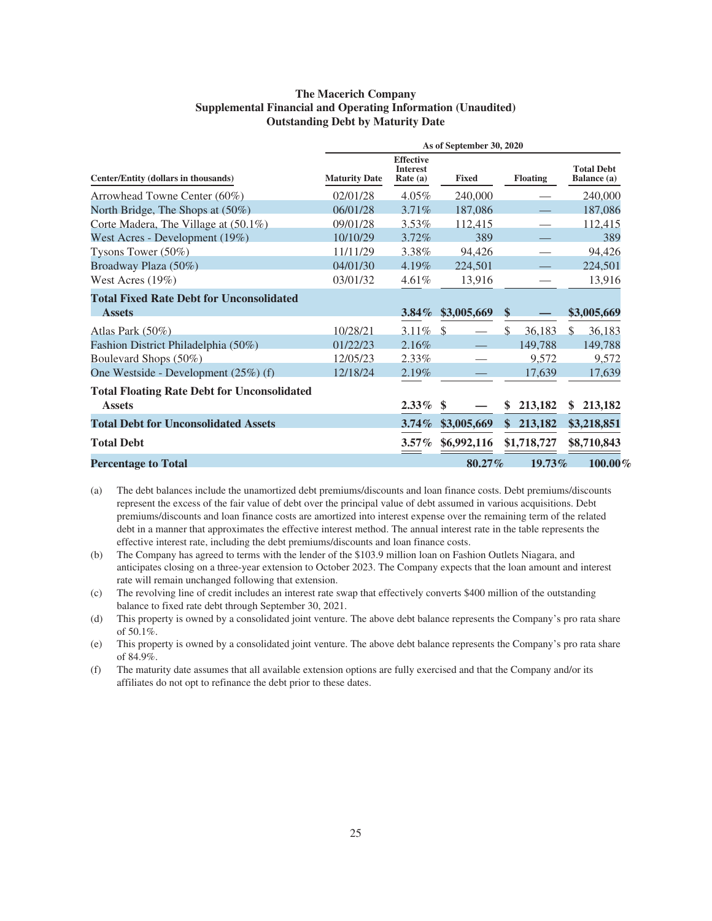#### **The Macerich Company Supplemental Financial and Operating Information (Unaudited) Outstanding Debt by Maturity Date**

|                                                                     | As of September 30, 2020 |                                                   |              |                 |                                  |
|---------------------------------------------------------------------|--------------------------|---------------------------------------------------|--------------|-----------------|----------------------------------|
| Center/Entity (dollars in thousands)                                | <b>Maturity Date</b>     | <b>Effective</b><br><b>Interest</b><br>Rate $(a)$ | <b>Fixed</b> | <b>Floating</b> | <b>Total Debt</b><br>Balance (a) |
| Arrowhead Towne Center (60%)                                        | 02/01/28                 | $4.05\%$                                          | 240,000      |                 | 240,000                          |
| North Bridge, The Shops at (50%)                                    | 06/01/28                 | 3.71%                                             | 187,086      |                 | 187,086                          |
| Corte Madera, The Village at (50.1%)                                | 09/01/28                 | $3.53\%$                                          | 112,415      |                 | 112,415                          |
| West Acres - Development (19%)                                      | 10/10/29                 | $3.72\%$                                          | 389          |                 | 389                              |
| Tysons Tower $(50\%)$                                               | 11/11/29                 | 3.38%                                             | 94,426       |                 | 94,426                           |
| Broadway Plaza (50%)                                                | 04/01/30                 | $4.19\%$                                          | 224,501      |                 | 224,501                          |
| West Acres $(19\%)$                                                 | 03/01/32                 | $4.61\%$                                          | 13,916       |                 | 13,916                           |
| <b>Total Fixed Rate Debt for Unconsolidated</b>                     |                          |                                                   |              |                 |                                  |
| <b>Assets</b>                                                       |                          | $3.84\%$                                          | \$3,005,669  | \$              | \$3,005,669                      |
| Atlas Park (50%)                                                    | 10/28/21                 |                                                   |              | \$<br>36,183    | $\mathcal{S}$<br>36,183          |
| Fashion District Philadelphia (50%)                                 | 01/22/23                 | 2.16%                                             |              | 149,788         | 149,788                          |
| Boulevard Shops (50%)                                               | 12/05/23                 | $2.33\%$                                          |              | 9,572           | 9,572                            |
| One Westside - Development $(25%)$ (f)                              | 12/18/24                 | 2.19%                                             |              | 17,639          | 17,639                           |
| <b>Total Floating Rate Debt for Unconsolidated</b><br><b>Assets</b> |                          | $2.33\%$ \$                                       |              | 213,182<br>S    | 213,182<br>\$                    |
| <b>Total Debt for Unconsolidated Assets</b>                         |                          | $3.74\%$                                          | \$3,005,669  | \$213,182       | \$3,218,851                      |
| <b>Total Debt</b>                                                   |                          | $3.57\%$                                          | \$6,992,116  | \$1,718,727     | \$8,710,843                      |
| <b>Percentage to Total</b>                                          |                          |                                                   | 80.27%       | 19.73%          | $100.00\%$                       |

(a) The debt balances include the unamortized debt premiums/discounts and loan finance costs. Debt premiums/discounts represent the excess of the fair value of debt over the principal value of debt assumed in various acquisitions. Debt premiums/discounts and loan finance costs are amortized into interest expense over the remaining term of the related debt in a manner that approximates the effective interest method. The annual interest rate in the table represents the effective interest rate, including the debt premiums/discounts and loan finance costs.

(b) The Company has agreed to terms with the lender of the \$103.9 million loan on Fashion Outlets Niagara, and anticipates closing on a three-year extension to October 2023. The Company expects that the loan amount and interest rate will remain unchanged following that extension.

(c) The revolving line of credit includes an interest rate swap that effectively converts \$400 million of the outstanding balance to fixed rate debt through September 30, 2021.

(d) This property is owned by a consolidated joint venture. The above debt balance represents the Company's pro rata share of 50.1%.

(e) This property is owned by a consolidated joint venture. The above debt balance represents the Company's pro rata share of 84.9%.

(f) The maturity date assumes that all available extension options are fully exercised and that the Company and/or its affiliates do not opt to refinance the debt prior to these dates.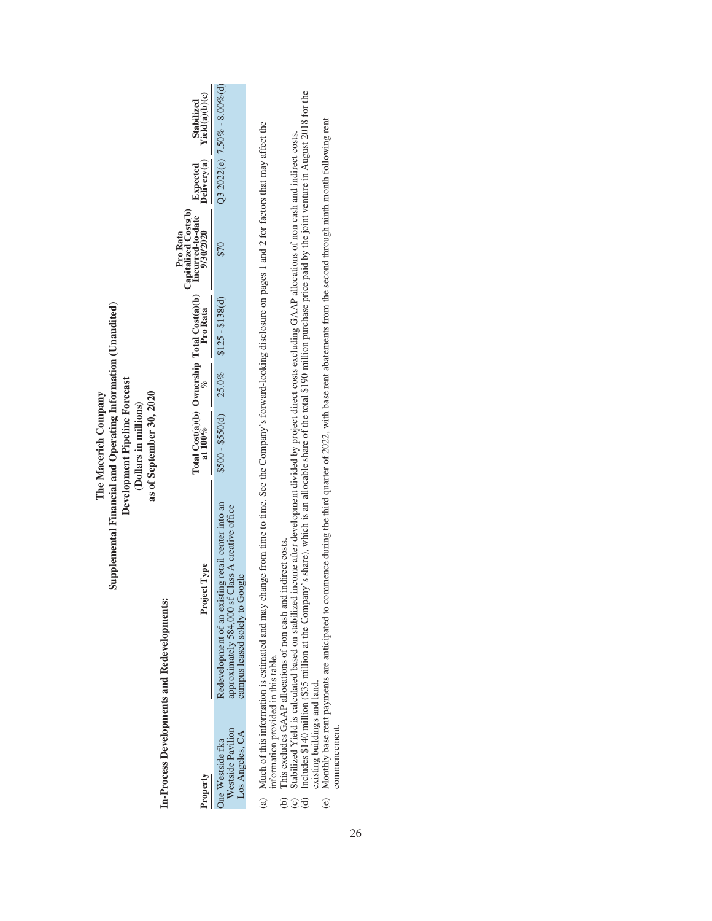|                                                          | Supplemental Financial and Operating Information (Unaudited)<br>In-Process Developments and Redevelopments:                                                                                                                                                                                                                                                                                                                                                                                                                                                                                                                                            | Development Pipeline Forecast<br>as of September 30, 2020<br>The Macerich Company<br>(Dollars in millions) |                  |                                                                                                                     |                         |                                  |
|----------------------------------------------------------|--------------------------------------------------------------------------------------------------------------------------------------------------------------------------------------------------------------------------------------------------------------------------------------------------------------------------------------------------------------------------------------------------------------------------------------------------------------------------------------------------------------------------------------------------------------------------------------------------------------------------------------------------------|------------------------------------------------------------------------------------------------------------|------------------|---------------------------------------------------------------------------------------------------------------------|-------------------------|----------------------------------|
| Property                                                 | Project Type                                                                                                                                                                                                                                                                                                                                                                                                                                                                                                                                                                                                                                           |                                                                                                            | Pro Kata         | Capitalized Costs(b)<br>Total Cost(a)(b) Ownership Total Cost(a)(b) Incurred-to-date<br>at $100\%$ $\%$<br>Pro Rata | Expected<br>Delivery(a) | Yield(a)(b)(c)<br>Stabilized     |
| Westside Pavilion<br>Los Angeles, CA<br>One Westside fka | Redevelopment of an existing retail center into an<br>approximately 584,000 sf Class A creative office<br>campus leased solely to Google                                                                                                                                                                                                                                                                                                                                                                                                                                                                                                               | $$500 - $50(d) 25.0%$                                                                                      | $$125 - $138(d)$ | 870                                                                                                                 |                         | Q3 2022(e) $7.50\% - 8.00\%$ (d) |
| nformation provided in this table.<br>$\tilde{c}$        | to 11140 the 100 control of the Common Control in the state of the state of the total final control in the control of the state of the state of the state of the state of the state of the state of the state of the state of<br>(a) Much of this information is estimated and may change from time to time. See the Company's forward-looking disclosure on pages 1 and 2 for factors that may affect the<br>Stabilized Yield is calculated based on stabilized income after development divided by project direct costs excluding GAAP allocations of non cash and indirect costs.<br>This excludes GAAP allocations of non cash and indirect costs. |                                                                                                            |                  |                                                                                                                     |                         |                                  |

(d) Includes \$140 million (\$35 million at the Company's share), which is an allocable share of the total \$190 million purchase price paid by the joint venture in August 2018 for the existing buildings and land.

(d) Includes \$140 million (\$35 million at the Company's share), which is an allocable share of the total \$190 million purchase price paid by the joint venture in August 2018 for the existing buildings and land.<br>existing bu (e) Monthly base rent payments are anticipated to commence during the third quarter of 2022, with base rent abatements from the second through ninth month following rent commencement.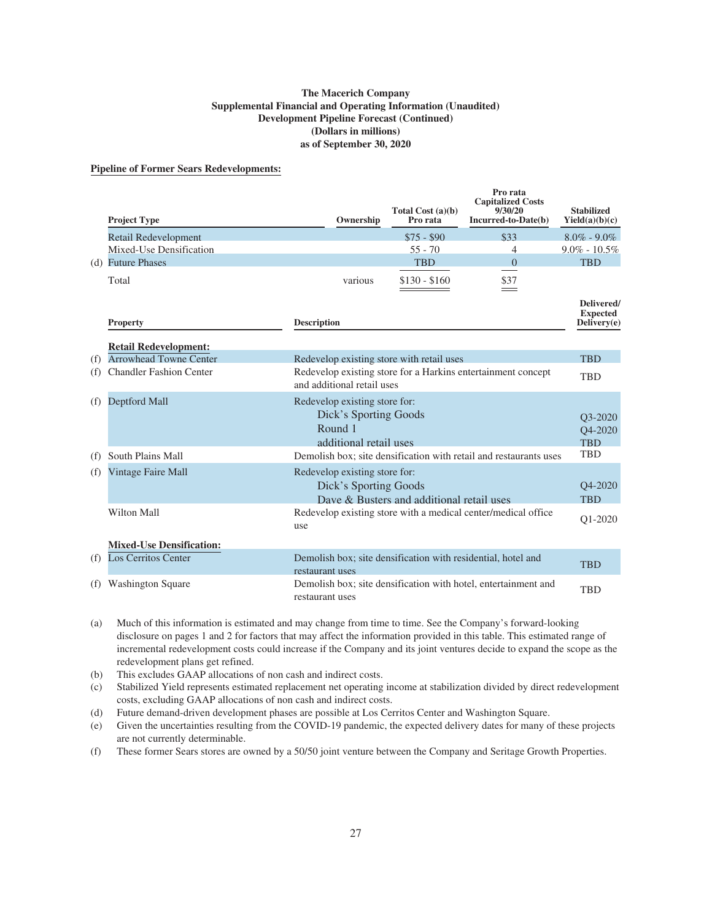#### **The Macerich Company Supplemental Financial and Operating Information (Unaudited) Development Pipeline Forecast (Continued) (Dollars in millions) as of September 30, 2020**

#### **Pipeline of Former Sears Redevelopments:**

|     | <b>Project Type</b>             | Ownership                                                                                   | Total Cost $(a)(b)$<br>Pro rata           | Pro rata<br><b>Capitalized Costs</b><br>9/30/20<br>Incurred-to-Date(b) | <b>Stabilized</b><br>Yield(a)(b)(c)          |
|-----|---------------------------------|---------------------------------------------------------------------------------------------|-------------------------------------------|------------------------------------------------------------------------|----------------------------------------------|
|     | <b>Retail Redevelopment</b>     |                                                                                             | $$75 - $90$                               | \$33                                                                   | $8.0\% - 9.0\%$                              |
|     | Mixed-Use Densification         |                                                                                             | $55 - 70$                                 | 4                                                                      | $9.0\% - 10.5\%$                             |
|     | (d) Future Phases               |                                                                                             | <b>TBD</b>                                | $\Omega$                                                               | <b>TBD</b>                                   |
|     | Total                           | various                                                                                     | $$130 - $160$                             | \$37                                                                   |                                              |
|     | <b>Property</b>                 | <b>Description</b>                                                                          |                                           |                                                                        | Delivered/<br><b>Expected</b><br>Delivery(e) |
|     | <b>Retail Redevelopment:</b>    |                                                                                             |                                           |                                                                        |                                              |
| (f) | <b>Arrowhead Towne Center</b>   | Redevelop existing store with retail uses                                                   |                                           |                                                                        | <b>TBD</b>                                   |
| (f) | <b>Chandler Fashion Center</b>  | Redevelop existing store for a Harkins entertainment concept<br>and additional retail uses  |                                           |                                                                        | <b>TBD</b>                                   |
| (f) | Deptford Mall                   | Redevelop existing store for:<br>Dick's Sporting Goods<br>Round 1<br>additional retail uses |                                           |                                                                        | O3-2020<br>O4-2020<br><b>TBD</b>             |
| (f) | South Plains Mall               |                                                                                             |                                           | Demolish box; site densification with retail and restaurants uses      | <b>TBD</b>                                   |
| (f) | Vintage Faire Mall              | Redevelop existing store for:<br>Dick's Sporting Goods                                      | Dave & Busters and additional retail uses |                                                                        | O <sub>4</sub> -2020<br><b>TBD</b>           |
|     | <b>Wilton Mall</b>              | Redevelop existing store with a medical center/medical office<br>use                        |                                           |                                                                        | O1-2020                                      |
|     | <b>Mixed-Use Densification:</b> |                                                                                             |                                           |                                                                        |                                              |
| (f) | <b>Los Cerritos Center</b>      | Demolish box; site densification with residential, hotel and<br>restaurant uses             |                                           |                                                                        | <b>TBD</b>                                   |
| (f) | <b>Washington Square</b>        | Demolish box; site densification with hotel, entertainment and<br>restaurant uses           |                                           |                                                                        | <b>TBD</b>                                   |

(a) Much of this information is estimated and may change from time to time. See the Company's forward-looking disclosure on pages 1 and 2 for factors that may affect the information provided in this table. This estimated range of incremental redevelopment costs could increase if the Company and its joint ventures decide to expand the scope as the redevelopment plans get refined.

(b) This excludes GAAP allocations of non cash and indirect costs.

(c) Stabilized Yield represents estimated replacement net operating income at stabilization divided by direct redevelopment costs, excluding GAAP allocations of non cash and indirect costs.

(d) Future demand-driven development phases are possible at Los Cerritos Center and Washington Square.

(e) Given the uncertainties resulting from the COVID-19 pandemic, the expected delivery dates for many of these projects are not currently determinable.

(f) These former Sears stores are owned by a 50/50 joint venture between the Company and Seritage Growth Properties.